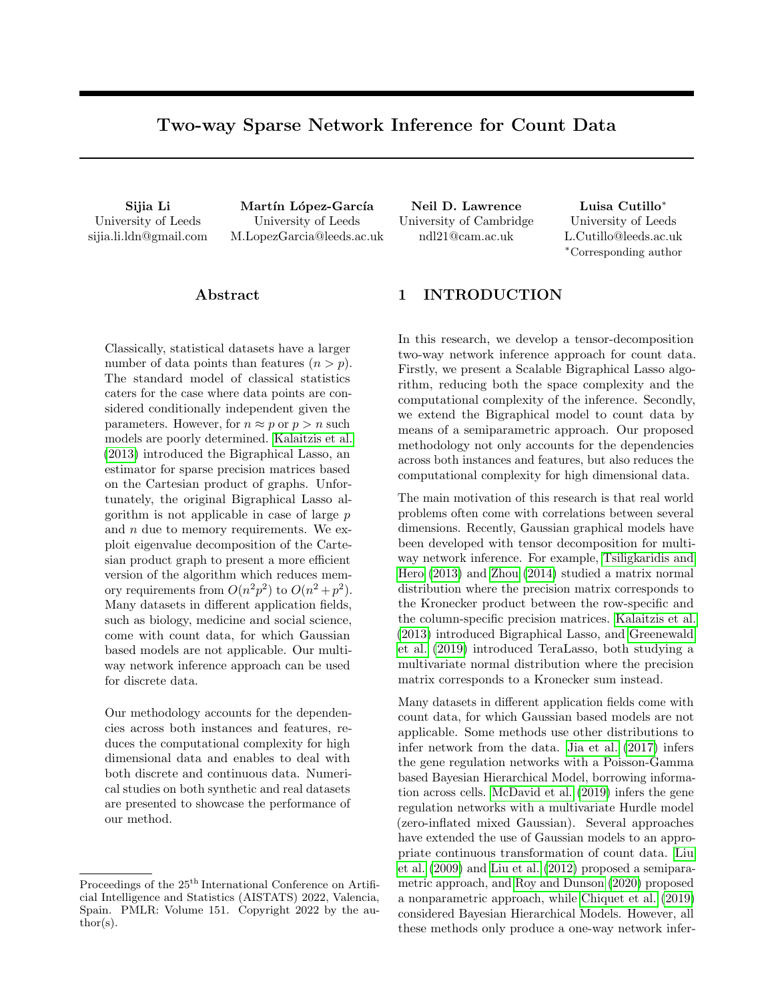# Two-way Sparse Network Inference for Count Data

University of Leeds sijia.li.ldn@gmail.com

Sijia Li Martín López-García Neil D. Lawrence Luisa Cutillo<sup>∗</sup> University of Leeds M.LopezGarcia@leeds.ac.uk

University of Cambridge ndl21@cam.ac.uk

University of Leeds L.Cutillo@leeds.ac.uk <sup>∗</sup>Corresponding author

## ${\rm Abstract}$

Classically, statistical datasets have a larger number of data points than features  $(n > p)$ . The standard model of classical statistics caters for the case where data points are considered conditionally independent given the parameters. However, for  $n \approx p$  or  $p > n$  such models are poorly determined. [Kalaitzis et al.](#page-9-0) [\(2013\)](#page-9-0) introduced the Bigraphical Lasso, an estimator for sparse precision matrices based on the Cartesian product of graphs. Unfortunately, the original Bigraphical Lasso algorithm is not applicable in case of large  $p$ and n due to memory requirements. We exploit eigenvalue decomposition of the Cartesian product graph to present a more efficient version of the algorithm which reduces memory requirements from  $O(n^2p^2)$  to  $O(n^2+p^2)$ . Many datasets in different application fields, such as biology, medicine and social science, come with count data, for which Gaussian based models are not applicable. Our multiway network inference approach can be used for discrete data.

Our methodology accounts for the dependencies across both instances and features, reduces the computational complexity for high dimensional data and enables to deal with both discrete and continuous data. Numerical studies on both synthetic and real datasets are presented to showcase the performance of our method.

# 1 INTRODUCTION

In this research, we develop a tensor-decomposition two-way network inference approach for count data. Firstly, we present a Scalable Bigraphical Lasso algorithm, reducing both the space complexity and the computational complexity of the inference. Secondly, we extend the Bigraphical model to count data by means of a semiparametric approach. Our proposed methodology not only accounts for the dependencies across both instances and features, but also reduces the computational complexity for high dimensional data.

The main motivation of this research is that real world problems often come with correlations between several dimensions. Recently, Gaussian graphical models have been developed with tensor decomposition for multiway network inference. For example, [Tsiligkaridis and](#page-9-1) [Hero](#page-9-1) [\(2013\)](#page-9-1) and [Zhou](#page-9-2) [\(2014\)](#page-9-2) studied a matrix normal distribution where the precision matrix corresponds to the Kronecker product between the row-specific and the column-specific precision matrices. [Kalaitzis et al.](#page-9-0) [\(2013\)](#page-9-0) introduced Bigraphical Lasso, and [Greenewald](#page-9-3) [et al.](#page-9-3) [\(2019\)](#page-9-3) introduced TeraLasso, both studying a multivariate normal distribution where the precision matrix corresponds to a Kronecker sum instead.

Many datasets in different application fields come with count data, for which Gaussian based models are not applicable. Some methods use other distributions to infer network from the data. [Jia et al.](#page-9-4) [\(2017\)](#page-9-4) infers the gene regulation networks with a Poisson-Gamma based Bayesian Hierarchical Model, borrowing information across cells. [McDavid et al.](#page-9-5) [\(2019\)](#page-9-5) infers the gene regulation networks with a multivariate Hurdle model (zero-inflated mixed Gaussian). Several approaches have extended the use of Gaussian models to an appropriate continuous transformation of count data. [Liu](#page-9-6) [et al.](#page-9-6) [\(2009\)](#page-9-6) and [Liu et al.](#page-9-7) [\(2012\)](#page-9-7) proposed a semiparametric approach, and [Roy and Dunson](#page-9-8) [\(2020\)](#page-9-8) proposed a nonparametric approach, while [Chiquet et al.](#page-9-9) [\(2019\)](#page-9-9) considered Bayesian Hierarchical Models. However, all these methods only produce a one-way network infer-

Proceedings of the  $25<sup>th</sup>$  International Conference on Artificial Intelligence and Statistics (AISTATS) 2022, Valencia, Spain. PMLR: Volume 151. Copyright 2022 by the au- $\text{thor}(s)$ .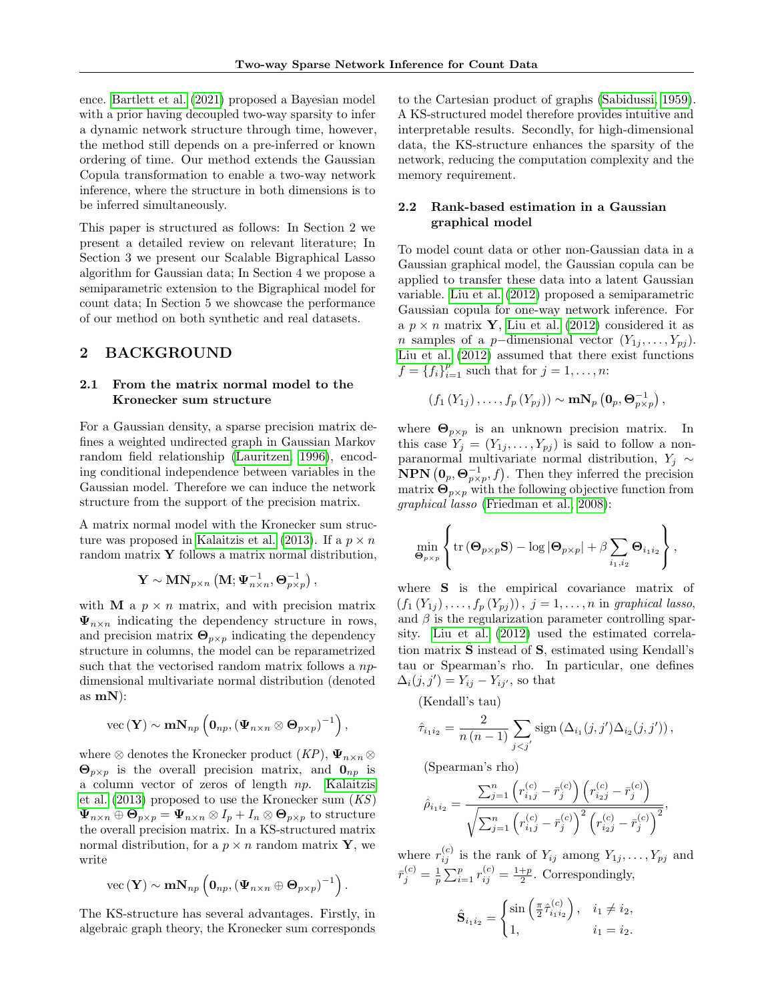ence. [Bartlett et al.](#page-9-10) [\(2021\)](#page-9-10) proposed a Bayesian model with a prior having decoupled two-way sparsity to infer a dynamic network structure through time, however, the method still depends on a pre-inferred or known ordering of time. Our method extends the Gaussian Copula transformation to enable a two-way network inference, where the structure in both dimensions is to be inferred simultaneously.

This paper is structured as follows: In Section 2 we present a detailed review on relevant literature; In Section 3 we present our Scalable Bigraphical Lasso algorithm for Gaussian data; In Section 4 we propose a semiparametric extension to the Bigraphical model for count data; In Section 5 we showcase the performance of our method on both synthetic and real datasets.

# 2 BACKGROUND

## 2.1 From the matrix normal model to the Kronecker sum structure

For a Gaussian density, a sparse precision matrix defines a weighted undirected graph in Gaussian Markov random field relationship [\(Lauritzen, 1996\)](#page-9-11), encoding conditional independence between variables in the Gaussian model. Therefore we can induce the network structure from the support of the precision matrix.

A matrix normal model with the Kronecker sum struc-ture was proposed in [Kalaitzis et al.](#page-9-0) [\(2013\)](#page-9-0). If a  $p \times n$ random matrix  $\mathbf Y$  follows a matrix normal distribution,

$$
\mathbf Y \sim \mathbf M \mathbf N_{p \times n} \left( \mathbf M; \boldsymbol \Psi_{n \times n}^{-1}, \boldsymbol \Theta_{p \times p}^{-1} \right),
$$

with **M** a  $p \times n$  matrix, and with precision matrix  $\Psi_{n\times n}$  indicating the dependency structure in rows, and precision matrix  $\mathbf{\Theta}_{p \times p}$  indicating the dependency structure in columns, the model can be reparametrized such that the vectorised random matrix follows a  $np$ dimensional multivariate normal distribution (denoted as  $mN$ :

vec 
$$
(\mathbf{Y}) \sim \mathbf{m} \mathbf{N}_{np} \left( \mathbf{0}_{np}, (\mathbf{\Psi}_{n \times n} \otimes \mathbf{\Theta}_{p \times p})^{-1} \right),
$$

where  $\otimes$  denotes the Kronecker product  $(KP)$ ,  $\Psi_{n \times n} \otimes$  $\mathbf{\Theta}_{p\times p}$  is the overall precision matrix, and  $\mathbf{0}_{np}$  is a column vector of zeros of length np. [Kalaitzis](#page-9-0) [et al.](#page-9-0)  $(2013)$  proposed to use the Kronecker sum  $(KS)$  $\Psi_{n\times n} \oplus \mathbf{\Theta}_{p\times p} = \Psi_{n\times n} \otimes I_p + I_n \otimes \mathbf{\Theta}_{p\times p}$  to structure the overall precision matrix. In a KS-structured matrix normal distribution, for a  $p \times n$  random matrix Y, we write

vec 
$$
(\mathbf{Y}) \sim \mathbf{m} \mathbf{N}_{np} \left( \mathbf{0}_{np}, (\mathbf{\Psi}_{n \times n} \oplus \mathbf{\Theta}_{p \times p})^{-1} \right).
$$

The KS-structure has several advantages. Firstly, in algebraic graph theory, the Kronecker sum corresponds to the Cartesian product of graphs [\(Sabidussi, 1959\)](#page-9-12). A KS-structured model therefore provides intuitive and interpretable results. Secondly, for high-dimensional data, the KS-structure enhances the sparsity of the network, reducing the computation complexity and the memory requirement.

### 2.2 Rank-based estimation in a Gaussian graphical model

To model count data or other non-Gaussian data in a Gaussian graphical model, the Gaussian copula can be applied to transfer these data into a latent Gaussian variable. [Liu et al.](#page-9-7) [\(2012\)](#page-9-7) proposed a semiparametric Gaussian copula for one-way network inference. For a  $p \times n$  matrix **Y**, [Liu et al.](#page-9-7) [\(2012\)](#page-9-7) considered it as n samples of a p-dimensional vector  $(Y_{1j}, \ldots, Y_{pj})$ . [Liu et al.](#page-9-7) [\(2012\)](#page-9-7) assumed that there exist functions  $f = \{f_i\}_{i=1}^p$  such that for  $j = 1, ..., n$ :

$$
(f_1(Y_{1j}),\ldots,f_p(Y_{pj})) \sim \mathbf{mN}_p\left(\mathbf{0}_p,\mathbf{\Theta}_{p\times p}^{-1}\right),
$$

where  $\mathbf{\Theta}_{p\times p}$  is an unknown precision matrix. In this case  $Y_j = (Y_{1j}, \ldots, Y_{pj})$  is said to follow a nonparanormal multivariate normal distribution,  $Y_i$  ∼ **NPN**  $(0_p, \Theta_{p \times p}^{-1}, f)$ . Then they inferred the precision matrix  $\Theta_{p\times p}$  with the following objective function from graphical lasso [\(Friedman et al., 2008\)](#page-9-13):

$$
\min_{\mathbf{\Theta}_{p\times p}} \left\{ \text{tr}\left(\mathbf{\Theta}_{p\times p}\mathbf{S}\right) - \log|\mathbf{\Theta}_{p\times p}| + \beta \sum_{i_1, i_2} \mathbf{\Theta}_{i_1 i_2} \right\},\
$$

where S is the empirical covariance matrix of  $(f_1(Y_{1j}),..., f_p(Y_{pj}))$ ,  $j = 1,..., n$  in graphical lasso, and  $\beta$  is the regularization parameter controlling sparsity. [Liu et al.](#page-9-7) [\(2012\)](#page-9-7) used the estimated correlation matrix  $\hat{\mathbf{S}}$  instead of  $\mathbf{S}$ , estimated using Kendall's tau or Spearman's rho. In particular, one defines  $\Delta_i(j, j') = Y_{ij} - Y_{ij'}$ , so that

(Kendall's tau)

$$
\hat{\tau}_{i_1 i_2} = \frac{2}{n (n-1)} \sum_{j < j'} \text{sign} \left( \Delta_{i_1}(j, j') \Delta_{i_2}(j, j') \right),
$$

(Spearman's rho)

$$
\hat{\rho}_{i_1 i_2} = \frac{\sum_{j=1}^n \left( r_{i_1 j}^{(c)} - \bar{r}_j^{(c)} \right) \left( r_{i_2 j}^{(c)} - \bar{r}_j^{(c)} \right)}{\sqrt{\sum_{j=1}^n \left( r_{i_1 j}^{(c)} - \bar{r}_j^{(c)} \right)^2 \left( r_{i_2 j}^{(c)} - \bar{r}_j^{(c)} \right)^2}},
$$

where  $r_{ij}^{(c)}$  is the rank of  $Y_{ij}$  among  $Y_{1j}, \ldots, Y_{pj}$  and  $\bar{r}_j^{(c)} = \frac{1}{p} \sum_{i=1}^p r_{ij}^{(c)} = \frac{1+p}{2}$ . Correspondingly,

$$
\hat{\mathbf{S}}_{i_1 i_2} = \begin{cases} \sin\left(\frac{\pi}{2} \hat{\tau}_{i_1 i_2}^{(c)}\right), & i_1 \neq i_2, \\ 1, & i_1 = i_2. \end{cases}
$$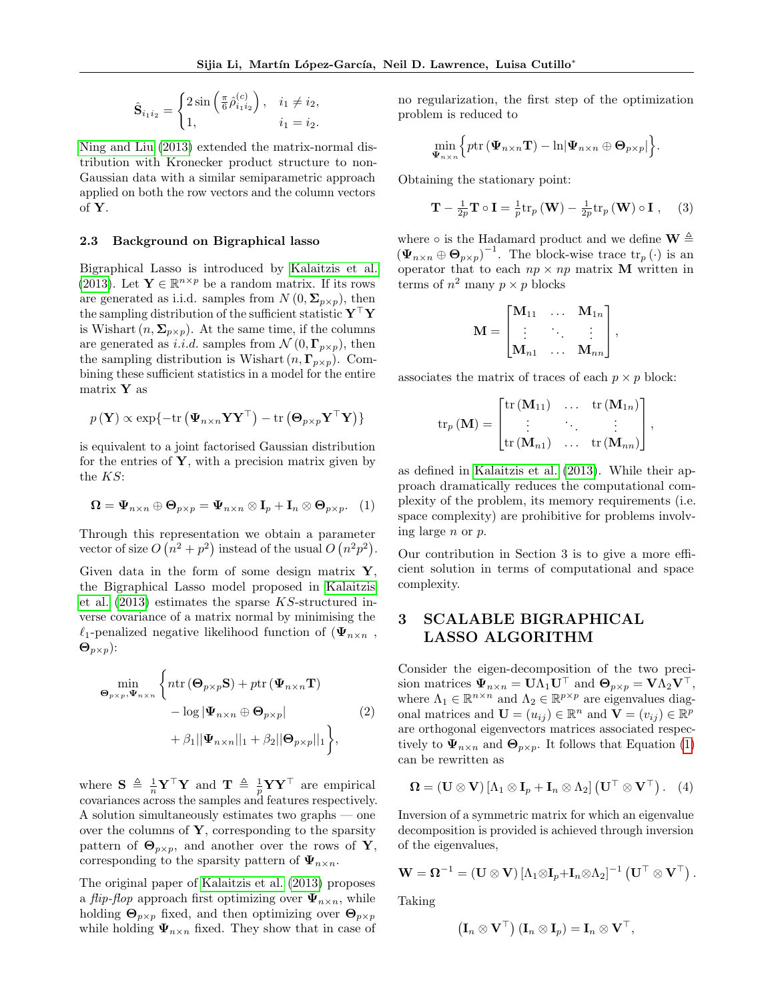$$
\hat{\mathbf{S}}_{i_1 i_2} = \begin{cases} 2\sin\left(\frac{\pi}{6}\hat{\rho}_{i_1 i_2}^{(c)}\right), & i_1 \neq i_2, \\ 1, & i_1 = i_2. \end{cases}
$$

[Ning and Liu](#page-9-14) [\(2013\)](#page-9-14) extended the matrix-normal distribution with Kronecker product structure to non-Gaussian data with a similar semiparametric approach applied on both the row vectors and the column vectors of Y.

### 2.3 Background on Bigraphical lasso

Bigraphical Lasso is introduced by [Kalaitzis et al.](#page-9-0) [\(2013\)](#page-9-0). Let  $\mathbf{Y} \in \mathbb{R}^{n \times p}$  be a random matrix. If its rows are generated as i.i.d. samples from  $N(0, \Sigma_{p \times p})$ , then the sampling distribution of the sufficient statistic  $\mathbf{Y}^\top \mathbf{Y}$ is Wishart  $(n, \Sigma_{n \times n})$ . At the same time, if the columns are generated as i.i.d. samples from  $\mathcal{N}(0, \Gamma_{p \times p})$ , then the sampling distribution is Wishart  $(n, \Gamma_{p \times p})$ . Combining these sufficient statistics in a model for the entire matrix Y as

$$
p(\mathbf{Y}) \propto \exp\{-\text{tr}(\boldsymbol{\Psi}_{n\times n} \mathbf{Y} \mathbf{Y}^{\top}) - \text{tr}(\boldsymbol{\Theta}_{p\times p} \mathbf{Y}^{\top} \mathbf{Y})\}
$$

is equivalent to a joint factorised Gaussian distribution for the entries of  $\mathbf{Y}$ , with a precision matrix given by the KS:

<span id="page-2-0"></span>
$$
\mathbf{\Omega} = \mathbf{\Psi}_{n \times n} \oplus \mathbf{\Theta}_{p \times p} = \mathbf{\Psi}_{n \times n} \otimes \mathbf{I}_p + \mathbf{I}_n \otimes \mathbf{\Theta}_{p \times p}. \quad (1)
$$

Through this representation we obtain a parameter vector of size  $O(n^2+p^2)$  instead of the usual  $O(n^2p^2)$ .

Given data in the form of some design matrix  $\mathbf{Y}$ , the Bigraphical Lasso model proposed in [Kalaitzis](#page-9-0) [et al.](#page-9-0)  $(2013)$  estimates the sparse KS-structured inverse covariance of a matrix normal by minimising the  $\ell_1$ -penalized negative likelihood function of  $(\Psi_{n \times n})$ ,  $\mathbf{\Theta}_{p\times p}$ ):

<span id="page-2-3"></span>
$$
\begin{aligned}\n\min_{\boldsymbol{\Theta}_{p\times p}, \boldsymbol{\Psi}_{n\times n}} \left\{ n \text{tr} \left( \boldsymbol{\Theta}_{p\times p} \mathbf{S} \right) + p \text{tr} \left( \boldsymbol{\Psi}_{n\times n} \mathbf{T} \right) \right. \\
&\quad - \log |\boldsymbol{\Psi}_{n\times n} \oplus \boldsymbol{\Theta}_{p\times p}| \\
&\quad + \beta_1 ||\boldsymbol{\Psi}_{n\times n}||_1 + \beta_2 ||\boldsymbol{\Theta}_{p\times p}||_1 \right\},\n\end{aligned} \tag{2}
$$

where  $S \triangleq \frac{1}{n} Y^{\top} Y$  and  $T \triangleq \frac{1}{p} Y Y^{\top}$  are empirical covariances across the samples and features respectively. A solution simultaneously estimates two graphs — one over the columns of  $\mathbf{Y}$ , corresponding to the sparsity pattern of  $\Theta_{p\times p}$ , and another over the rows of Y, corresponding to the sparsity pattern of  $\Psi_{n \times n}$ .

The original paper of [Kalaitzis et al.](#page-9-0) [\(2013\)](#page-9-0) proposes a *flip-flop* approach first optimizing over  $\Psi_{n \times n}$ , while holding  $\mathbf{\Theta}_{p\times p}$  fixed, and then optimizing over  $\mathbf{\Theta}_{p\times p}$ while holding  $\Psi_{n \times n}$  fixed. They show that in case of no regularization, the first step of the optimization problem is reduced to

$$
\min_{\mathbf{\Psi}_{n\times n}}\Big\{p\text{tr}\left(\mathbf{\Psi}_{n\times n}\mathbf{T}\right)-\ln\lvert\mathbf{\Psi}_{n\times n}\oplus\mathbf{\Theta}_{p\times p}\rvert\Big\}.
$$

Obtaining the stationary point:

<span id="page-2-2"></span>
$$
\mathbf{T} - \frac{1}{2p} \mathbf{T} \circ \mathbf{I} = \frac{1}{p} \text{tr}_p \left( \mathbf{W} \right) - \frac{1}{2p} \text{tr}_p \left( \mathbf{W} \right) \circ \mathbf{I} , \quad (3)
$$

where  $\circ$  is the Hadamard product and we define  $\mathbf{W} \triangleq$  $(\Psi_{n\times n} \oplus \Theta_{p\times p})^{-1}$ . The block-wise trace  $\text{tr}_p(\cdot)$  is an operator that to each  $np \times np$  matrix **M** written in terms of  $n^2$  many  $p \times p$  blocks

$$
\mathbf{M} = \begin{bmatrix} \mathbf{M}_{11} & \dots & \mathbf{M}_{1n} \\ \vdots & \ddots & \vdots \\ \mathbf{M}_{n1} & \dots & \mathbf{M}_{nn} \end{bmatrix},
$$

associates the matrix of traces of each  $p \times p$  block:

$$
\operatorname{tr}_p(\mathbf{M}) = \begin{bmatrix} \operatorname{tr}(\mathbf{M}_{11}) & \dots & \operatorname{tr}(\mathbf{M}_{1n}) \\ \vdots & \ddots & \vdots \\ \operatorname{tr}(\mathbf{M}_{n1}) & \dots & \operatorname{tr}(\mathbf{M}_{nn}) \end{bmatrix},
$$

as defined in [Kalaitzis et al.](#page-9-0) [\(2013\)](#page-9-0). While their approach dramatically reduces the computational complexity of the problem, its memory requirements (i.e. space complexity) are prohibitive for problems involving large n or p.

Our contribution in Section 3 is to give a more efficient solution in terms of computational and space complexity.

# 3 SCALABLE BIGRAPHICAL LASSO ALGORITHM

Consider the eigen-decomposition of the two precision matrices  $\Psi_{n\times n} = \mathbf{U}\Lambda_1\mathbf{U}^\top$  and  $\mathbf{\Theta}_{p\times p} = \mathbf{V}\Lambda_2\mathbf{V}^\top$ , where  $\Lambda_1 \in \mathbb{R}^{n \times n}$  and  $\Lambda_2 \in \mathbb{R}^{p \times p}$  are eigenvalues diagonal matrices and  $\mathbf{U} = (u_{ij}) \in \mathbb{R}^n$  and  $\mathbf{V} = (v_{ij}) \in \mathbb{R}^p$ are orthogonal eigenvectors matrices associated respectively to  $\Psi_{n \times n}$  and  $\Theta_{p \times p}$ . It follows that Equation [\(1\)](#page-2-0) can be rewritten as

$$
\mathbf{\Omega} = (\mathbf{U} \otimes \mathbf{V}) [\Lambda_1 \otimes \mathbf{I}_p + \mathbf{I}_n \otimes \Lambda_2] (\mathbf{U}^\top \otimes \mathbf{V}^\top). (4)
$$

Inversion of a symmetric matrix for which an eigenvalue decomposition is provided is achieved through inversion of the eigenvalues,

$$
\mathbf{W} = \mathbf{\Omega}^{-1} = (\mathbf{U} \otimes \mathbf{V}) \left[ \Lambda_1 \otimes \mathbf{I}_p + \mathbf{I}_n \otimes \Lambda_2 \right]^{-1} \left( \mathbf{U}^\top \otimes \mathbf{V}^\top \right).
$$

Taking

<span id="page-2-1"></span>
$$
\left(\mathbf{I}_n \otimes \mathbf{V}^\top\right) \left(\mathbf{I}_n \otimes \mathbf{I}_p\right) = \mathbf{I}_n \otimes \mathbf{V}^\top,
$$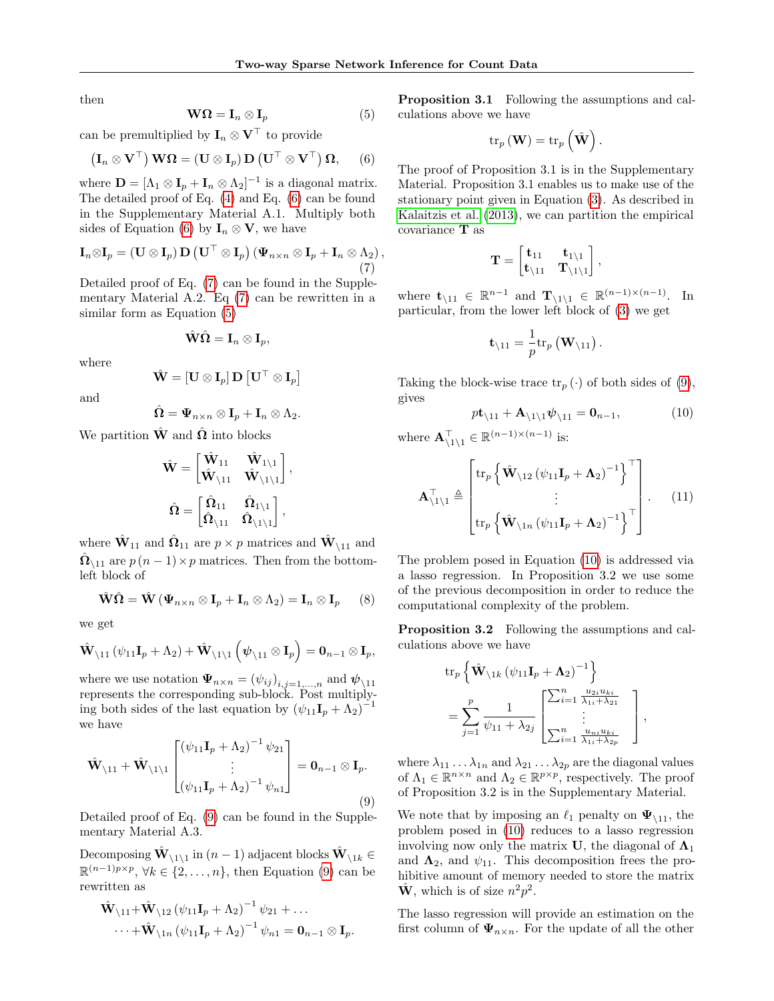then

<span id="page-3-2"></span>
$$
\mathbf{W}\mathbf{\Omega} = \mathbf{I}_n \otimes \mathbf{I}_p \tag{5}
$$

can be premultiplied by  $\mathbf{I}_n \otimes \mathbf{V}^\top$  to provide

<span id="page-3-0"></span>
$$
(\mathbf{I}_n \otimes \mathbf{V}^\top) \mathbf{W} \mathbf{\Omega} = (\mathbf{U} \otimes \mathbf{I}_p) \mathbf{D} (\mathbf{U}^\top \otimes \mathbf{V}^\top) \mathbf{\Omega}, \qquad (6)
$$

where  $\mathbf{D} = [\Lambda_1 \otimes \mathbf{I}_p + \mathbf{I}_n \otimes \Lambda_2]^{-1}$  is a diagonal matrix. The detailed proof of Eq. [\(4\)](#page-2-1) and Eq. [\(6\)](#page-3-0) can be found in the Supplementary Material A.1. Multiply both sides of Equation [\(6\)](#page-3-0) by  $I_n \otimes V$ , we have

<span id="page-3-1"></span>
$$
\mathbf{I}_n \otimes \mathbf{I}_p = (\mathbf{U} \otimes \mathbf{I}_p) \mathbf{D} (\mathbf{U}^\top \otimes \mathbf{I}_p) (\mathbf{\Psi}_{n \times n} \otimes \mathbf{I}_p + \mathbf{I}_n \otimes \Lambda_2),
$$
\n(7)

Detailed proof of Eq. [\(7\)](#page-3-1) can be found in the Supplementary Material A.2. Eq [\(7\)](#page-3-1) can be rewritten in a similar form as Equation [\(5\)](#page-3-2)

$$
\hat{\mathbf{W}}\hat{\mathbf{\Omega}}=\mathbf{I}_n\otimes \mathbf{I}_p,
$$

where

$$
\hat{\mathbf{W}} = [\mathbf{U} \otimes \mathbf{I}_p] \mathbf{D} [\mathbf{U}^\top \otimes \mathbf{I}_p]
$$

and

$$
\hat{\mathbf{\Omega}}=\mathbf{\Psi}_{n\times n}\otimes \mathbf{I}_p+\mathbf{I}_n\otimes \Lambda_2.
$$

We partition  $\hat{W}$  and  $\hat{\Omega}$  into blocks

$$
\hat{\mathbf{W}} = \begin{bmatrix} \hat{\mathbf{W}}_{11} & \hat{\mathbf{W}}_{1\setminus 1} \\ \hat{\mathbf{W}}_{\setminus 11} & \hat{\mathbf{W}}_{\setminus 1\setminus 1} \end{bmatrix},
$$

$$
\hat{\Omega} = \begin{bmatrix} \hat{\Omega}_{11} & \hat{\Omega}_{1\setminus 1} \\ \hat{\Omega}_{\setminus 11} & \hat{\Omega}_{\setminus 1\setminus 1} \end{bmatrix},
$$

where  $\hat{\mathbf{W}}_{11}$  and  $\hat{\mathbf{\Omega}}_{11}$  are  $p \times p$  matrices and  $\hat{\mathbf{W}}_{\setminus 11}$  and  $\hat{\Omega}_{\setminus 11}$  are  $p(n-1) \times p$  matrices. Then from the bottomleft block of

<span id="page-3-6"></span>
$$
\hat{\mathbf{W}}\hat{\mathbf{\Omega}} = \hat{\mathbf{W}}\left(\mathbf{\Psi}_{n\times n} \otimes \mathbf{I}_p + \mathbf{I}_n \otimes \Lambda_2\right) = \mathbf{I}_n \otimes \mathbf{I}_p \qquad (8)
$$

we get

$$
\hat{\mathbf{W}}_{\setminus 11} \left( \psi_{11} \mathbf{I}_p + \Lambda_2 \right) + \hat{\mathbf{W}}_{\setminus 1\setminus 1} \left( \boldsymbol{\psi}_{\setminus 11} \otimes \mathbf{I}_p \right) = \mathbf{0}_{n-1} \otimes \mathbf{I}_p,
$$

where we use notation  $\Psi_{n \times n} = (\psi_{ij})_{i,j=1,\dots,n}$  and  $\psi_{\setminus 11}$ represents the corresponding sub-block. Post multiplying both sides of the last equation by  $(\psi_{11}\mathbf{I}_p + \Lambda_2)^{-1}$ we have

<span id="page-3-3"></span>
$$
\hat{\mathbf{W}}_{\backslash 11} + \hat{\mathbf{W}}_{\backslash 1\backslash 1} \begin{bmatrix} (\psi_{11}\mathbf{I}_p + \Lambda_2)^{-1} \psi_{21} \\ \vdots \\ (\psi_{11}\mathbf{I}_p + \Lambda_2)^{-1} \psi_{n1} \end{bmatrix} = \mathbf{0}_{n-1} \otimes \mathbf{I}_p.
$$
\n(9)

Detailed proof of Eq. [\(9\)](#page-3-3) can be found in the Supplementary Material A.3.

Decomposing  $\hat{\mathbf{W}}_{\setminus 1\setminus 1}$  in  $(n-1)$  adjacent blocks  $\hat{\mathbf{W}}_{\setminus 1k} \in$  $\mathbb{R}^{(n-1)p\times p}, \forall k \in \{2,\ldots,n\},\$  then Equation [\(9\)](#page-3-3) can be rewritten as

$$
\hat{\mathbf{W}}_{\backslash 11} + \hat{\mathbf{W}}_{\backslash 12} (\psi_{11} \mathbf{I}_p + \Lambda_2)^{-1} \psi_{21} + \dots
$$
  
 
$$
\dots + \hat{\mathbf{W}}_{\backslash 1n} (\psi_{11} \mathbf{I}_p + \Lambda_2)^{-1} \psi_{n1} = \mathbf{0}_{n-1} \otimes \mathbf{I}_p.
$$

Proposition 3.1 Following the assumptions and calculations above we have

$$
\operatorname{tr}_{p}(\mathbf{W}) = \operatorname{tr}_{p}(\hat{\mathbf{W}}).
$$

The proof of Proposition 3.1 is in the Supplementary Material. Proposition 3.1 enables us to make use of the stationary point given in Equation [\(3\)](#page-2-2). As described in [Kalaitzis et al.](#page-9-0) [\(2013\)](#page-9-0), we can partition the empirical covariance T as

$$
\mathbf{T} = \begin{bmatrix} \mathbf{t}_{11} & \mathbf{t}_{1 \setminus 1} \\ \mathbf{t}_{\setminus 11} & \mathbf{T}_{\setminus 1 \setminus 1} \end{bmatrix},
$$

where  $\mathbf{t}_{\setminus 11} \in \mathbb{R}^{n-1}$  and  $\mathbf{T}_{\setminus 1\setminus 1} \in \mathbb{R}^{(n-1)\times (n-1)}$ . In particular, from the lower left block of [\(3\)](#page-2-2) we get

$$
\mathbf{t}_{\setminus 11} = \frac{1}{p} \mathrm{tr}_p \left( \mathbf{W}_{\setminus 11} \right).
$$

Taking the block-wise trace  $\text{tr}_p(\cdot)$  of both sides of [\(9\)](#page-3-3), gives

<span id="page-3-4"></span>
$$
p\mathbf{t}_{\backslash 11} + \mathbf{A}_{\backslash 1\backslash 1}\psi_{\backslash 11} = \mathbf{0}_{n-1},\tag{10}
$$

where  $\mathbf{A}_{\setminus 1\setminus 1}^{\top} \in \mathbb{R}^{(n-1)\times (n-1)}$  is:

<span id="page-3-5"></span>
$$
\mathbf{A}_{\backslash 1\backslash 1}^{\top} \triangleq \begin{bmatrix} tr_p \left\{ \hat{\mathbf{W}}_{\backslash 12} \left( \psi_{11} \mathbf{I}_p + \mathbf{\Lambda}_2 \right)^{-1} \right\}^{\top} \\ \vdots \\ tr_p \left\{ \hat{\mathbf{W}}_{\backslash 1n} \left( \psi_{11} \mathbf{I}_p + \mathbf{\Lambda}_2 \right)^{-1} \right\}^{\top} \end{bmatrix} . \tag{11}
$$

The problem posed in Equation [\(10\)](#page-3-4) is addressed via a lasso regression. In Proposition 3.2 we use some of the previous decomposition in order to reduce the computational complexity of the problem.

Proposition 3.2 Following the assumptions and calculations above we have

$$
\text{tr}_{p} \left\{ \hat{\mathbf{W}}_{\backslash 1k} \left( \psi_{11} \mathbf{I}_{p} + \mathbf{\Lambda}_{2} \right)^{-1} \right\} \n= \sum_{j=1}^{p} \frac{1}{\psi_{11} + \lambda_{2j}} \begin{bmatrix} \sum_{i=1}^{n} \frac{u_{2i} u_{ki}}{\lambda_{1i} + \lambda_{21}} \\ \vdots \\ \sum_{i=1}^{n} \frac{u_{ni} u_{ki}}{\lambda_{1i} + \lambda_{2p}} \end{bmatrix},
$$

where  $\lambda_{11} \ldots \lambda_{1n}$  and  $\lambda_{21} \ldots \lambda_{2p}$  are the diagonal values of  $\Lambda_1 \in \mathbb{R}^{n \times n}$  and  $\Lambda_2 \in \mathbb{R}^{p \times p}$ , respectively. The proof of Proposition 3.2 is in the Supplementary Material.

We note that by imposing an  $\ell_1$  penalty on  $\Psi_{\{1\}}$ , the problem posed in [\(10\)](#page-3-4) reduces to a lasso regression involving now only the matrix U, the diagonal of  $\Lambda_1$ and  $\Lambda_2$ , and  $\psi_{11}$ . This decomposition frees the prohibitive amount of memory needed to store the matrix  $\hat{\mathbf{W}}$ , which is of size  $n^2p^2$ .

The lasso regression will provide an estimation on the first column of  $\Psi_{n \times n}$ . For the update of all the other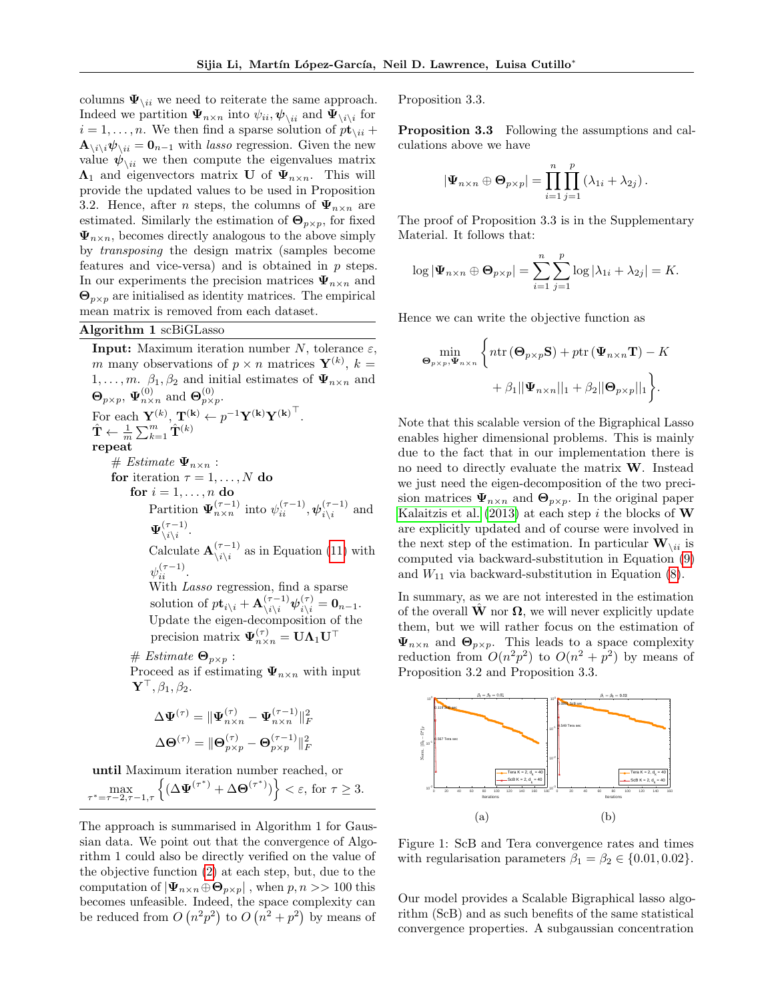columns  $\Psi_{\backslash ii}$  we need to reiterate the same approach. Indeed we partition  $\Psi_{n \times n}$  into  $\psi_{ii}$ ,  $\psi_{\setminus ii}$  and  $\Psi_{\setminus i \setminus i}$  for  $i = 1, \ldots, n$ . We then find a sparse solution of  $p\mathbf{t}_{\setminus i i}$  +  $\mathbf{A}_{\setminus i\setminus i}\boldsymbol{\psi}_{\setminus ii} = \mathbf{0}_{n-1}$  with lasso regression. Given the new value  $\psi_{\backslash ii}$  we then compute the eigenvalues matrix  $\Lambda_1$  and eigenvectors matrix U of  $\Psi_{n \times n}$ . This will provide the updated values to be used in Proposition 3.2. Hence, after *n* steps, the columns of  $\Psi_{n \times n}$  are estimated. Similarly the estimation of  $\Theta_{p\times p}$ , for fixed  $\Psi_{n\times n}$ , becomes directly analogous to the above simply by transposing the design matrix (samples become features and vice-versa) and is obtained in p steps. In our experiments the precision matrices  $\Psi_{n \times n}$  and  $\Theta_{p\times p}$  are initialised as identity matrices. The empirical mean matrix is removed from each dataset.

#### Algorithm 1 scBiGLasso

**Input:** Maximum iteration number N, tolerance  $\varepsilon$ , m many observations of  $p \times n$  matrices  $\mathbf{Y}^{(k)}$ ,  $k =$  $1, \ldots, m$ .  $\beta_1, \beta_2$  and initial estimates of  $\Psi_{n \times n}$  and  $\mathbf{\Theta}_{p\times p}$ ,  $\mathbf{\Psi}_{n\times n}^{(0)}$  and  $\mathbf{\Theta}_{p\times p}^{(0)}$ . For each  $\mathbf{Y}^{(k)}$ ,  $\mathbf{T}^{(k)} \leftarrow p^{-1} \mathbf{Y}^{(k)} \mathbf{Y}^{(k)}^\top$ .  $\hat{\textbf{T}} \leftarrow \frac{1}{m}\sum_{k=1}^{m}\hat{\textbf{T}}^{(k)}$ repeat  $# Estimate \Psi_{n \times n}$ : for iteration  $\tau = 1, \ldots, N$  do for  $i = 1, \ldots, n$  do Partition  $\Psi_{n \times n}^{(\tau-1)}$  into  $\psi_{ii}^{(\tau-1)}, \psi_{i \backslash i}^{(\tau-1)}$  $\prod_{i\backslash i}^{(\tau-1)}$  and  $\Psi_{\backslash\,i\backslash\,i}^{(\tau-1)}$  $\frac{(\tau-1)}{\iota \backslash i}$ . Calculate  $\mathbf{A}_{\backslash i\backslash i}^{(\tau-1)}$  $\chi_{i\setminus i}^{(\tau-1)}$  as in Equation [\(11\)](#page-3-5) with  $\psi_{ii}^{(\tau-1)}$ . With Lasso regression, find a sparse solution of  $p\mathbf{t}_{i\backslash i} + \mathbf{A}_{\backslash i\backslash i}^{(\tau-1)} \boldsymbol{\psi}_{i\backslash i}^{(\tau)} = \mathbf{0}_{n-1}.$ Update the eigen-decomposition of the precision matrix  $\boldsymbol{\Psi}^{(\tau)}_{n\times n} = \mathbf{U}\boldsymbol{\Lambda}_1\mathbf{U}^\top$  $# Estimate \space \Theta_{p\times p}:$ Proceed as if estimating  $\Psi_{n \times n}$  with input  $\mathbf{Y}^{\top}, \beta_1, \beta_2.$ 

$$
\Delta \mathbf{\Psi}^{(\tau)} = \|\mathbf{\Psi}_{n \times n}^{(\tau)} - \mathbf{\Psi}_{n \times n}^{(\tau-1)}\|_{F}^{2}
$$

$$
\Delta \mathbf{\Theta}^{(\tau)} = \|\mathbf{\Theta}_{p \times p}^{(\tau)} - \mathbf{\Theta}_{p \times p}^{(\tau-1)}\|_{F}^{2}
$$

until Maximum iteration number reached, or

 $\max_{\tau=\tau-2,\tau-1,\tau}\left\{(\Delta \Psi^{(\tau^*)}+\Delta \Theta^{(\tau^*)})\right\}<\varepsilon, \text{ for } \tau\geq 3.$ τ

The approach is summarised in Algorithm 1 for Gaussian data. We point out that the convergence of Algorithm 1 could also be directly verified on the value of the objective function [\(2\)](#page-2-3) at each step, but, due to the computation of  $|\Psi_{n\times n} \oplus \Theta_{p\times p}|$ , when  $p, n >> 100$  this becomes unfeasible. Indeed, the space complexity can be reduced from  $O(n^2p^2)$  to  $O(n^2+p^2)$  by means of

Proposition 3.3.

Proposition 3.3 Following the assumptions and calculations above we have

$$
|\Psi_{n\times n} \oplus \mathbf{\Theta}_{p\times p}| = \prod_{i=1}^n \prod_{j=1}^p (\lambda_{1i} + \lambda_{2j}).
$$

The proof of Proposition 3.3 is in the Supplementary Material. It follows that:

$$
\log |\Psi_{n\times n} \oplus \Theta_{p\times p}| = \sum_{i=1}^n \sum_{j=1}^p \log |\lambda_{1i} + \lambda_{2j}| = K.
$$

Hence we can write the objective function as

$$
\begin{aligned}\n\min_{\mathbf{\Theta}_{p\times p}, \mathbf{\Psi}_{n\times n}} \Big\{ n \text{tr}\left(\mathbf{\Theta}_{p\times p}\mathbf{S}\right) + p \text{tr}\left(\mathbf{\Psi}_{n\times n}\mathbf{T}\right) - K \\
&+ \beta_1 ||\mathbf{\Psi}_{n\times n}||_1 + \beta_2 ||\mathbf{\Theta}_{p\times p}||_1 \Big\}.\n\end{aligned}
$$

Note that this scalable version of the Bigraphical Lasso enables higher dimensional problems. This is mainly due to the fact that in our implementation there is no need to directly evaluate the matrix W. Instead we just need the eigen-decomposition of the two precision matrices  $\Psi_{n\times n}$  and  $\Theta_{p\times p}$ . In the original paper [Kalaitzis et al.](#page-9-0) [\(2013\)](#page-9-0) at each step i the blocks of  $W$ are explicitly updated and of course were involved in the next step of the estimation. In particular  $\mathbf{W}_{\setminus ii}$  is computed via backward-substitution in Equation [\(9\)](#page-3-3) and  $W_{11}$  via backward-substitution in Equation [\(8\)](#page-3-6).

In summary, as we are not interested in the estimation of the overall **W** nor  $\Omega$ , we will never explicitly update them, but we will rather focus on the estimation of  $\Psi_{n\times n}$  and  $\Theta_{p\times p}$ . This leads to a space complexity reduction from  $O(n^2p^2)$  to  $O(n^2+p^2)$  by means of Proposition 3.2 and Proposition 3.3.

<span id="page-4-0"></span>

Figure 1: ScB and Tera convergence rates and times with regularisation parameters  $\beta_1 = \beta_2 \in \{0.01, 0.02\}.$ 

Our model provides a Scalable Bigraphical lasso algorithm (ScB) and as such benefits of the same statistical convergence properties. A subgaussian concentration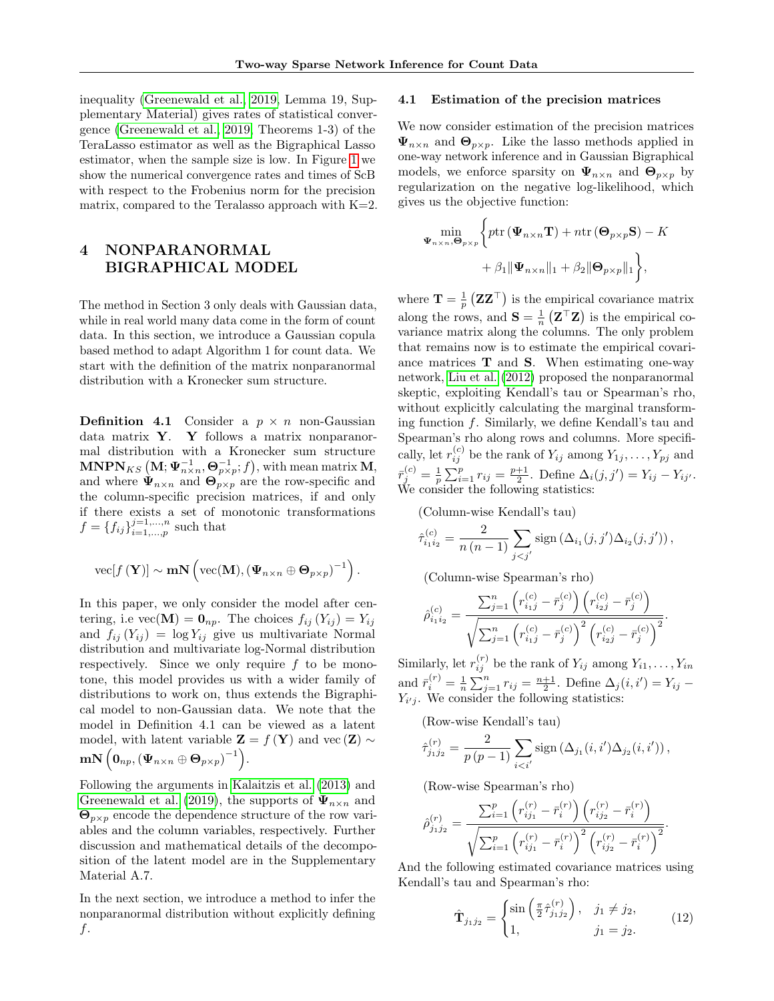inequality [\(Greenewald et al., 2019,](#page-9-3) Lemma 19, Supplementary Material) gives rates of statistical convergence [\(Greenewald et al., 2019,](#page-9-3) Theorems 1-3) of the TeraLasso estimator as well as the Bigraphical Lasso estimator, when the sample size is low. In Figure [1](#page-4-0) we show the numerical convergence rates and times of ScB with respect to the Frobenius norm for the precision matrix, compared to the Teralasso approach with  $K=2$ .

# 4 NONPARANORMAL BIGRAPHICAL MODEL

The method in Section 3 only deals with Gaussian data, while in real world many data come in the form of count data. In this section, we introduce a Gaussian copula based method to adapt Algorithm 1 for count data. We start with the definition of the matrix nonparanormal distribution with a Kronecker sum structure.

**Definition 4.1** Consider a  $p \times n$  non-Gaussian data matrix  $Y$ . Y follows a matrix nonparanormal distribution with a Kronecker sum structure  $\textbf{MNPN}_{KS}\left(\textbf{M};\boldsymbol{\Psi}_{n\times n}^{-1},\boldsymbol{\Theta}_{p\times p}^{-1};f\right)$ , with mean matrix  $\textbf{M},$ and where  $\Psi_{n\times n}$  and  $\Theta_{p\times p}$  are the row-specific and the column-specific precision matrices, if and only if there exists a set of monotonic transformations  $f = \{f_{ij}\}_{i=1,...,n}^{j=1,...,n}$  $\sum_{i=1,\ldots,p}^{j=1,\ldots,n}$  such that

$$
\text{vec}[f(\mathbf{Y})] \sim \mathbf{m} \mathbf{N}\left(\text{vec}(\mathbf{M}), (\boldsymbol{\Psi}_{n \times n} \oplus \boldsymbol{\Theta}_{p \times p})^{-1}\right).
$$

In this paper, we only consider the model after centering, i.e vec( $\mathbf{M}$ ) =  $\mathbf{0}_{np}$ . The choices  $f_{ij}(Y_{ij}) = Y_{ij}$ and  $f_{ij} (Y_{ij}) = \log Y_{ij}$  give us multivariate Normal distribution and multivariate log-Normal distribution respectively. Since we only require  $f$  to be monotone, this model provides us with a wider family of distributions to work on, thus extends the Bigraphical model to non-Gaussian data. We note that the model in Definition 4.1 can be viewed as a latent model, with latent variable  $\mathbf{Z} = f(\mathbf{Y})$  and vec  $(\mathbf{Z}) \sim$  $\textbf{mN}\left(\textbf{0}_{np}, \left(\boldsymbol{\Psi}_{n\times n} \oplus \boldsymbol{\Theta}_{p\times p}\right)^{-1}\right)\!.$ 

Following the arguments in [Kalaitzis et al.](#page-9-0) [\(2013\)](#page-9-0) and [Greenewald et al.](#page-9-3) [\(2019\)](#page-9-3), the supports of  $\Psi_{n \times n}$  and  $\Theta_{p\times p}$  encode the dependence structure of the row variables and the column variables, respectively. Further discussion and mathematical details of the decomposition of the latent model are in the Supplementary Material A.7.

In the next section, we introduce a method to infer the nonparanormal distribution without explicitly defining  $f$ .

### 4.1 Estimation of the precision matrices

We now consider estimation of the precision matrices  $\Psi_{n\times n}$  and  $\Theta_{p\times p}$ . Like the lasso methods applied in one-way network inference and in Gaussian Bigraphical models, we enforce sparsity on  $\Psi_{n\times n}$  and  $\Theta_{p\times p}$  by regularization on the negative log-likelihood, which gives us the objective function:

$$
\min_{\mathbf{\Psi}_{n\times n},\mathbf{\Theta}_{p\times p}} \Biggl\{ p \text{tr}\left(\mathbf{\Psi}_{n\times n} \mathbf{T}\right) + n \text{tr}\left(\mathbf{\Theta}_{p\times p} \mathbf{S}\right) - K + \beta_1 \|\mathbf{\Psi}_{n\times n}\|_1 + \beta_2 \|\mathbf{\Theta}_{p\times p}\|_1 \Biggr\},\
$$

where  $\mathbf{T} = \frac{1}{p} (\mathbf{Z} \mathbf{Z}^{\top})$  is the empirical covariance matrix along the rows, and  $\mathbf{S} = \frac{1}{n} (\mathbf{Z}^\top \mathbf{Z})$  is the empirical covariance matrix along the columns. The only problem that remains now is to estimate the empirical covariance matrices  $\mathbf T$  and  $\mathbf S$ . When estimating one-way network, [Liu et al.](#page-9-7) [\(2012\)](#page-9-7) proposed the nonparanormal skeptic, exploiting Kendall's tau or Spearman's rho, without explicitly calculating the marginal transforming function f. Similarly, we define Kendall's tau and Spearman's rho along rows and columns. More specifically, let  $r_{ij}^{(c)}$  be the rank of  $Y_{ij}$  among  $Y_{1j}, \ldots, Y_{pj}$  and  $\bar{r}_j^{(c)} = \frac{1}{p} \sum_{i=1}^p r_{ij} = \frac{p+1}{2}$ . Define  $\Delta_i(j, j') = Y_{ij} - Y_{ij'}$ . We consider the following statistics:

(Column-wise Kendall's tau)

$$
\hat{\tau}_{i_1 i_2}^{(c)} = \frac{2}{n (n-1)} \sum_{j < j'} \text{sign} \left( \Delta_{i_1}(j, j') \Delta_{i_2}(j, j') \right),
$$

(Column-wise Spearman's rho)

$$
\hat{\rho}_{i_1 i_2}^{(c)} = \frac{\sum_{j=1}^n \left( r_{i_1 j}^{(c)} - \bar{r}_j^{(c)} \right) \left( r_{i_2 j}^{(c)} - \bar{r}_j^{(c)} \right)}{\sqrt{\sum_{j=1}^n \left( r_{i_1 j}^{(c)} - \bar{r}_j^{(c)} \right)^2 \left( r_{i_2 j}^{(c)} - \bar{r}_j^{(c)} \right)^2}}.
$$

Similarly, let  $r_{ij}^{(r)}$  be the rank of  $Y_{ij}$  among  $Y_{i1}, \ldots, Y_{in}$ and  $\bar{r}_i^{(r)} = \frac{1}{n} \sum_{j=1}^n r_{ij} = \frac{n+1}{2}$ . Define  $\Delta_j(i, i') = Y_{ij}$  $Y_{i'j}$ . We consider the following statistics:

(Row-wise Kendall's tau)

$$
\hat{\tau}_{j_1 j_2}^{(r)} = \frac{2}{p(p-1)} \sum_{i < i'} \text{sign} \left( \Delta_{j_1}(i, i') \Delta_{j_2}(i, i') \right),
$$

(Row-wise Spearman's rho)

$$
\hat{\rho}_{j_1j_2}^{(r)} = \frac{\sum_{i=1}^p \left( r_{ij_1}^{(r)} - \bar{r}_i^{(r)} \right) \left( r_{ij_2}^{(r)} - \bar{r}_i^{(r)} \right)}{\sqrt{\sum_{i=1}^p \left( r_{ij_1}^{(r)} - \bar{r}_i^{(r)} \right)^2 \left( r_{ij_2}^{(r)} - \bar{r}_i^{(r)} \right)^2}}.
$$

And the following estimated covariance matrices using Kendall's tau and Spearman's rho:

<span id="page-5-0"></span>
$$
\hat{\mathbf{T}}_{j_1 j_2} = \begin{cases} \sin\left(\frac{\pi}{2} \hat{\tau}_{j_1 j_2}^{(r)}\right), & j_1 \neq j_2, \\ 1, & j_1 = j_2. \end{cases}
$$
(12)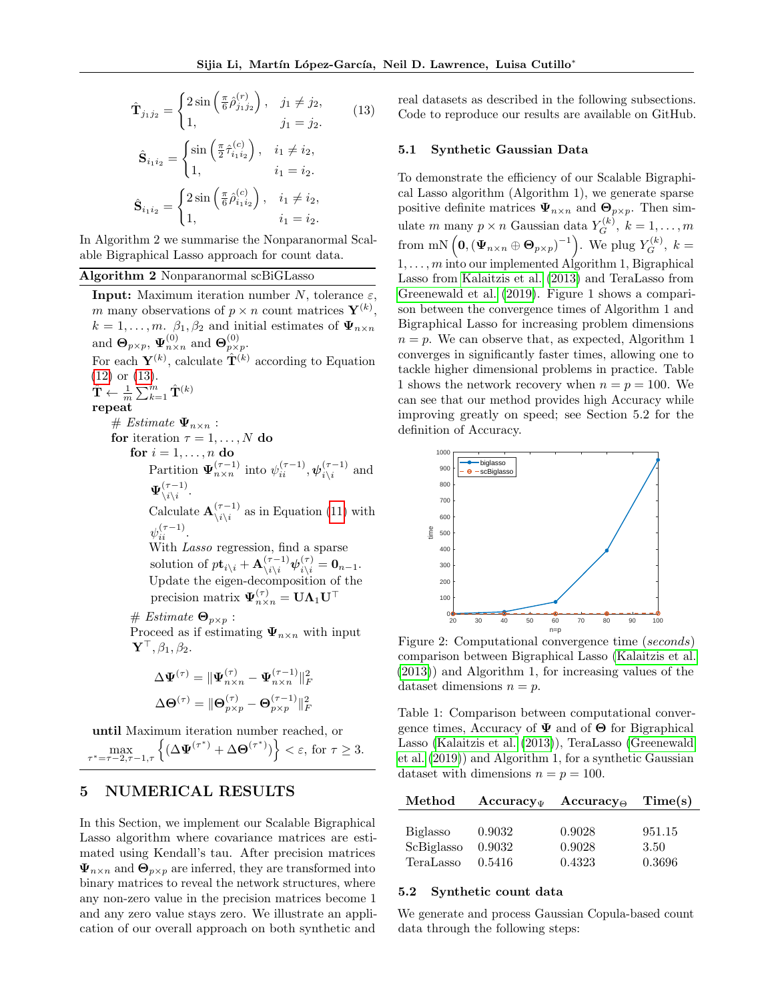<span id="page-6-0"></span>
$$
\hat{\mathbf{T}}_{j_1 j_2} = \begin{cases}\n2 \sin\left(\frac{\pi}{6} \hat{\rho}_{j_1 j_2}^{(r)}\right), & j_1 \neq j_2, \\
1, & j_1 = j_2.\n\end{cases}
$$
\n
$$
\hat{\mathbf{S}}_{i_1 i_2} = \begin{cases}\n\sin\left(\frac{\pi}{2} \hat{\tau}_{i_1 i_2}^{(c)}\right), & i_1 \neq i_2, \\
1, & i_1 = i_2.\n\end{cases}
$$
\n
$$
\hat{\mathbf{S}}_{i_1 i_2} = \begin{cases}\n2 \sin\left(\frac{\pi}{6} \hat{\rho}_{i_1 i_2}^{(c)}\right), & i_1 \neq i_2, \\
1, & i_1 = i_2.\n\end{cases}
$$
\n(13)

In Algorithm 2 we summarise the Nonparanormal Scalable Bigraphical Lasso approach for count data.

### Algorithm 2 Nonparanormal scBiGLasso

**Input:** Maximum iteration number N, tolerance  $\varepsilon$ , m many observations of  $p \times n$  count matrices  $\mathbf{Y}^{(k)}$ ,  $k = 1, \ldots, m$ .  $\beta_1, \beta_2$  and initial estimates of  $\Psi_{n \times n}$ and  $\mathbf{\Theta}_{p\times p}$ ,  $\mathbf{\Psi}_{n\times n}^{(0)}$  and  $\mathbf{\Theta}_{p\times p}^{(0)}$ . For each  $\mathbf{Y}^{(k)}$ , calculate  $\hat{\mathbf{T}}^{(k)}$  according to Equation [\(12\)](#page-5-0) or [\(13\)](#page-6-0).  $\hat{\textbf{T}} \leftarrow \frac{1}{m}\sum_{k=1}^m \hat{\textbf{T}}^{(k)}$ repeat # Estimate  $\Psi_{n\times n}$ : for iteration  $\tau = 1, \ldots, N$  do for  $i=1,\ldots,n$  do Partition  $\Psi_{n \times n}^{(\tau-1)}$  into  $\psi_{ii}^{(\tau-1)}, \psi_{i \backslash i}^{(\tau-1)}$  $\prod_{i\backslash i}^{(\tau-1)}$  and  $\Psi_{\backslash\,i\backslash\,i}^{(\tau-1)}$  $\frac{(\tau-1)}{\iota \backslash i}$ . Calculate  $\mathbf{A}_{\backslash i\backslash i}^{(\tau-1)}$  $\chi_{i\setminus i}^{(\tau-1)}$  as in Equation [\(11\)](#page-3-5) with  $\psi_{ii}^{(\tau-1)}$ . With Lasso regression, find a sparse solution of  $p\mathbf{t}_{i\backslash i} + \mathbf{A}_{\backslash i\backslash i}^{(\tau-1)} \psi_{i\backslash i}^{(\tau)} = \mathbf{0}_{n-1}$ . Update the eigen-decomposition of the precision matrix  $\boldsymbol{\Psi}^{(\tau)}_{n\times n} = \mathbf{U}\boldsymbol{\Lambda}_1\mathbf{U}^\top$ # Estimate  $\mathbf{\Theta}_{p\times p}$  : Proceed as if estimating  $\Psi_{n\times n}$  with input  $\mathbf{Y}^{\top}, \beta_1, \beta_2.$  $\Delta \mathbf \Psi^{(\tau)} = \Vert \mathbf \Psi^{(\tau)}_{n \times n} - \mathbf \Psi^{(\tau-1)}_{n \times n} \Vert_F^2$  $\Delta \boldsymbol{\Theta}^{(\tau)} = \| \boldsymbol{\Theta}_{p\times p}^{(\tau)} - \boldsymbol{\Theta}_{p\times p}^{(\tau-1)} \|_F^2$ 

until Maximum iteration number reached, or  $\max_{\tau=\tau-2,\tau-1,\tau}\left\{(\Delta \Psi^{(\tau^*)}+\Delta \Theta^{(\tau^*)})\right\}<\varepsilon, \text{ for } \tau\geq 3.$ τ

# 5 NUMERICAL RESULTS

In this Section, we implement our Scalable Bigraphical Lasso algorithm where covariance matrices are estimated using Kendall's tau. After precision matrices  $\Psi_{n\times n}$  and  $\Theta_{p\times p}$  are inferred, they are transformed into binary matrices to reveal the network structures, where any non-zero value in the precision matrices become 1 and any zero value stays zero. We illustrate an application of our overall approach on both synthetic and real datasets as described in the following subsections. Code to reproduce our results are available on GitHub.

### 5.1 Synthetic Gaussian Data

To demonstrate the efficiency of our Scalable Bigraphical Lasso algorithm (Algorithm 1), we generate sparse positive definite matrices  $\Psi_{n \times n}$  and  $\Theta_{p \times p}$ . Then simulate m many  $p \times n$  Gaussian data  $Y_G^{(k)}$ ,  $k = 1, ..., m$ from mN  $\left(\mathbf{0},\left(\mathbf{\Psi}_{n\times n}\oplus\mathbf{\Theta}_{p\times p}\right)^{-1}\right)$ . We plug  $Y_G^{(k)}$ ,  $k=$  $1, \ldots, m$  into our implemented Algorithm 1, Bigraphical Lasso from [Kalaitzis et al.](#page-9-0) [\(2013\)](#page-9-0) and TeraLasso from [Greenewald et al.](#page-9-3) [\(2019\)](#page-9-3). Figure 1 shows a comparison between the convergence times of Algorithm 1 and Bigraphical Lasso for increasing problem dimensions  $n = p$ . We can observe that, as expected, Algorithm 1 converges in significantly faster times, allowing one to tackle higher dimensional problems in practice. Table 1 shows the network recovery when  $n = p = 100$ . We can see that our method provides high Accuracy while improving greatly on speed; see Section 5.2 for the definition of Accuracy.

<span id="page-6-1"></span>

Figure 2: Computational convergence time (seconds) comparison between Bigraphical Lasso [\(Kalaitzis et al.](#page-9-0) [\(2013\)](#page-9-0)) and Algorithm 1, for increasing values of the dataset dimensions  $n = p$ .

<span id="page-6-2"></span>Table 1: Comparison between computational convergence times, Accuracy of  $\Psi$  and of  $\Theta$  for Bigraphical Lasso [\(Kalaitzis et al.](#page-9-0) [\(2013\)](#page-9-0)), TeraLasso [\(Greenewald](#page-9-3) [et al.](#page-9-3) [\(2019\)](#page-9-3)) and Algorithm 1, for a synthetic Gaussian dataset with dimensions  $n = p = 100$ .

| Method          | $Accuracy_{\Psi}$ | $Accuracy_{\Theta}$ | Time(s) |
|-----------------|-------------------|---------------------|---------|
|                 |                   |                     |         |
| <b>Biglasso</b> | 0.9032            | 0.9028              | 951.15  |
| ScBiglasso      | 0.9032            | 0.9028              | 3.50    |
| TeraLasso       | 0.5416            | 0.4323              | 0.3696  |

#### 5.2 Synthetic count data

We generate and process Gaussian Copula-based count data through the following steps: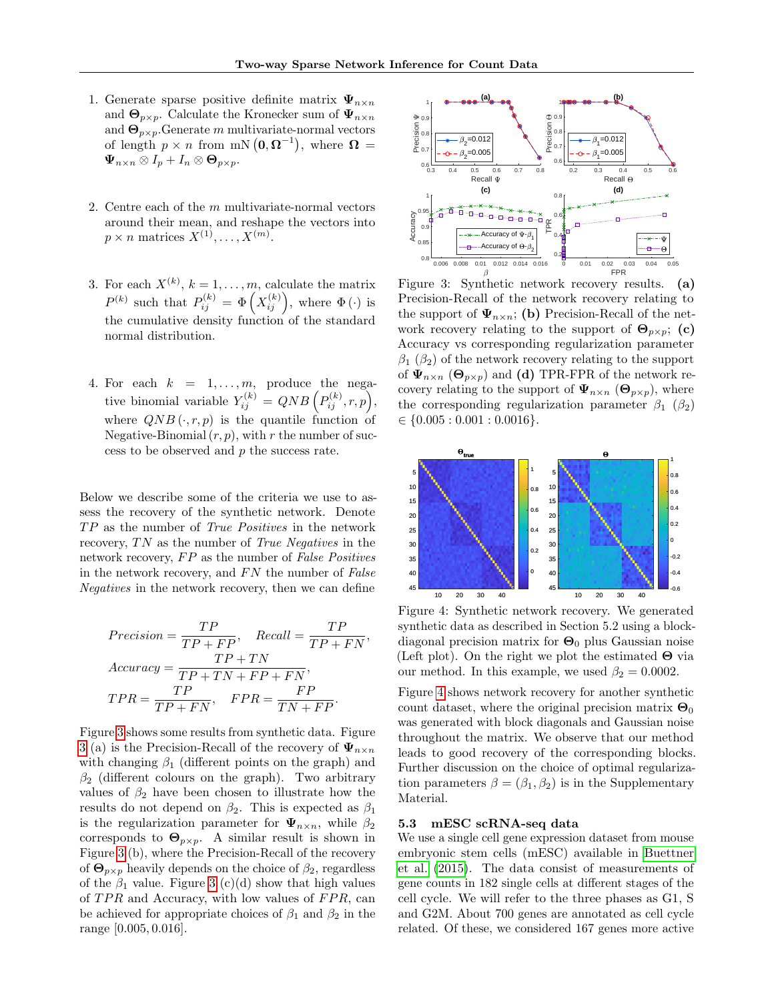,

- 1. Generate sparse positive definite matrix  $\Psi_{n \times n}$ and  $\mathbf{\Theta}_{p\times p}$ . Calculate the Kronecker sum of  $\Psi_{n\times n}$ and  $\mathbf{\Theta}_{p\times p}$ . Generate m multivariate-normal vectors of length  $p \times n$  from mN  $(0, \Omega^{-1})$ , where  $\Omega =$  $\Psi_{n\times n}\otimes I_p+I_n\otimes \mathbf{\Theta}_{p\times p}.$
- 2. Centre each of the m multivariate-normal vectors around their mean, and reshape the vectors into  $p \times n$  matrices  $X^{(1)}, \ldots, X^{(m)}$ .
- 3. For each  $X^{(k)}$ ,  $k = 1, \ldots, m$ , calculate the matrix  $P^{(k)}$  such that  $P_{ij}^{(k)} = \Phi\left(X_{ij}^{(k)}\right)$ , where  $\Phi\left(\cdot\right)$  is the cumulative density function of the standard normal distribution.
- 4. For each  $k = 1, \ldots, m$ , produce the negative binomial variable  $Y_{ij}^{(k)} = QNB\left(P_{ij}^{(k)}, r, p\right),$ where  $QNB(\cdot, r, p)$  is the quantile function of Negative-Binomial  $(r, p)$ , with r the number of success to be observed and p the success rate.

Below we describe some of the criteria we use to assess the recovery of the synthetic network. Denote  $TP$  as the number of  $True$   $Positives$  in the network recovery,  $TN$  as the number of  $True$  Negatives in the network recovery,  $FP$  as the number of  $False$   $Positives$ in the network recovery, and  $FN$  the number of  $False$ Negatives in the network recovery, then we can define

$$
Precision = \frac{TP}{TP + FP}, \quad Recall = \frac{TP}{TP + FN}
$$
\n
$$
Accuracy = \frac{TP + TN}{TP + TN + FP + FN}, \quad TPR = \frac{TP}{TP + FN}, \quad FPR = \frac{FP}{TN + FP}.
$$

Figure [3](#page-7-0) shows some results from synthetic data. Figure [3](#page-7-0) (a) is the Precision-Recall of the recovery of  $\Psi_{n \times n}$ with changing  $\beta_1$  (different points on the graph) and  $\beta_2$  (different colours on the graph). Two arbitrary values of  $\beta_2$  have been chosen to illustrate how the results do not depend on  $\beta_2$ . This is expected as  $\beta_1$ is the regularization parameter for  $\Psi_{n \times n}$ , while  $\beta_2$ corresponds to  $\Theta_{p\times p}$ . A similar result is shown in Figure [3](#page-7-0) (b), where the Precision-Recall of the recovery of  $\Theta_{p\times p}$  heavily depends on the choice of  $\beta_2$ , regardless of the  $\beta_1$  value. Figure [3](#page-7-0) (c)(d) show that high values of  $TPR$  and Accuracy, with low values of  $FPR$ , can be achieved for appropriate choices of  $\beta_1$  and  $\beta_2$  in the range [0.005, 0.016].

<span id="page-7-0"></span>

Figure 3: Synthetic network recovery results. (a) Precision-Recall of the network recovery relating to the support of  $\Psi_{n\times n}$ ; (b) Precision-Recall of the network recovery relating to the support of  $\Theta_{n\times n}$ ; (c) Accuracy vs corresponding regularization parameter  $\beta_1$  ( $\beta_2$ ) of the network recovery relating to the support of  $\Psi_{n\times n}$  ( $\Theta_{p\times p}$ ) and (d) TPR-FPR of the network recovery relating to the support of  $\Psi_{n\times n}$  ( $\Theta_{p\times p}$ ), where the corresponding regularization parameter  $\beta_1$  ( $\beta_2$ )  $\in \{0.005: 0.001: 0.0016\}.$ 

<span id="page-7-1"></span>

Figure 4: Synthetic network recovery. We generated synthetic data as described in Section 5.2 using a blockdiagonal precision matrix for  $\Theta_0$  plus Gaussian noise (Left plot). On the right we plot the estimated  $\Theta$  via our method. In this example, we used  $\beta_2 = 0.0002$ .

Figure [4](#page-7-1) shows network recovery for another synthetic count dataset, where the original precision matrix  $\mathbf{\Theta}_0$ was generated with block diagonals and Gaussian noise throughout the matrix. We observe that our method leads to good recovery of the corresponding blocks. Further discussion on the choice of optimal regularization parameters  $\beta = (\beta_1, \beta_2)$  is in the Supplementary Material.

#### 5.3 mESC scRNA-seq data

We use a single cell gene expression dataset from mouse embryonic stem cells (mESC) available in [Buettner](#page-9-15) [et al.](#page-9-15) [\(2015\)](#page-9-15). The data consist of measurements of gene counts in 182 single cells at different stages of the cell cycle. We will refer to the three phases as G1, S and G2M. About 700 genes are annotated as cell cycle related. Of these, we considered 167 genes more active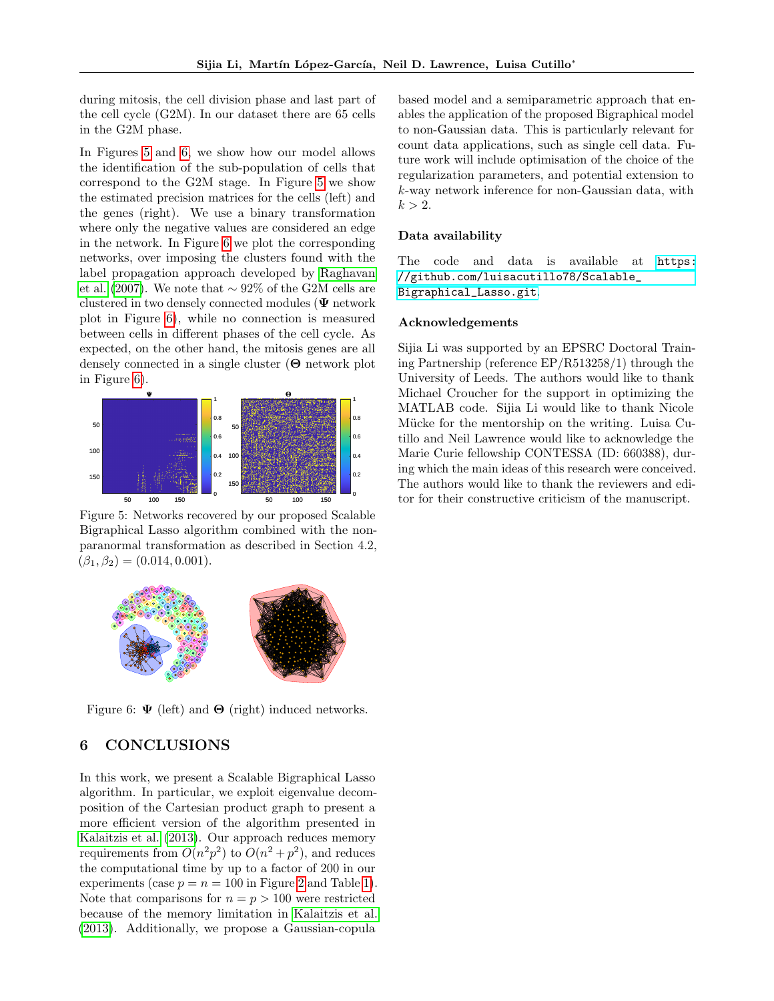during mitosis, the cell division phase and last part of the cell cycle (G2M). In our dataset there are 65 cells in the G2M phase.

In Figures [5](#page-8-0) and [6,](#page-8-1) we show how our model allows the identification of the sub-population of cells that correspond to the G2M stage. In Figure [5](#page-8-0) we show the estimated precision matrices for the cells (left) and the genes (right). We use a binary transformation where only the negative values are considered an edge in the network. In Figure [6](#page-8-1) we plot the corresponding networks, over imposing the clusters found with the label propagation approach developed by [Raghavan](#page-9-16) [et al.](#page-9-16) [\(2007\)](#page-9-16). We note that  $\sim 92\%$  of the G2M cells are clustered in two densely connected modules ( $\Psi$  network plot in Figure [6\)](#page-8-1), while no connection is measured between cells in different phases of the cell cycle. As expected, on the other hand, the mitosis genes are all densely connected in a single cluster (Θ network plot in Figure [6\)](#page-8-1).

<span id="page-8-0"></span>

Figure 5: Networks recovered by our proposed Scalable Bigraphical Lasso algorithm combined with the nonparanormal transformation as described in Section 4.2,  $(\beta_1, \beta_2) = (0.014, 0.001).$ 

<span id="page-8-1"></span>

Figure 6:  $\Psi$  (left) and  $\Theta$  (right) induced networks.

# 6 CONCLUSIONS

In this work, we present a Scalable Bigraphical Lasso algorithm. In particular, we exploit eigenvalue decomposition of the Cartesian product graph to present a more efficient version of the algorithm presented in [Kalaitzis et al.](#page-9-0) [\(2013\)](#page-9-0). Our approach reduces memory requirements from  $O(n^2p^2)$  to  $O(n^2+p^2)$ , and reduces the computational time by up to a factor of 200 in our experiments (case  $p = n = 100$  in Figure [2](#page-6-1) and Table [1\)](#page-6-2). Note that comparisons for  $n = p > 100$  were restricted because of the memory limitation in [Kalaitzis et al.](#page-9-0) [\(2013\)](#page-9-0). Additionally, we propose a Gaussian-copula

based model and a semiparametric approach that enables the application of the proposed Bigraphical model to non-Gaussian data. This is particularly relevant for count data applications, such as single cell data. Future work will include optimisation of the choice of the regularization parameters, and potential extension to k-way network inference for non-Gaussian data, with  $k > 2$ .

### Data availability

The code and data is available at [https:](https://github.com/luisacutillo78/Scalable_Bigraphical_Lasso.git) [//github.com/luisacutillo78/Scalable\\_](https://github.com/luisacutillo78/Scalable_Bigraphical_Lasso.git) [Bigraphical\\_Lasso.git](https://github.com/luisacutillo78/Scalable_Bigraphical_Lasso.git).

#### Acknowledgements

Sijia Li was supported by an EPSRC Doctoral Training Partnership (reference EP/R513258/1) through the University of Leeds. The authors would like to thank Michael Croucher for the support in optimizing the MATLAB code. Sijia Li would like to thank Nicole Mücke for the mentorship on the writing. Luisa Cutillo and Neil Lawrence would like to acknowledge the Marie Curie fellowship CONTESSA (ID: 660388), during which the main ideas of this research were conceived. The authors would like to thank the reviewers and editor for their constructive criticism of the manuscript.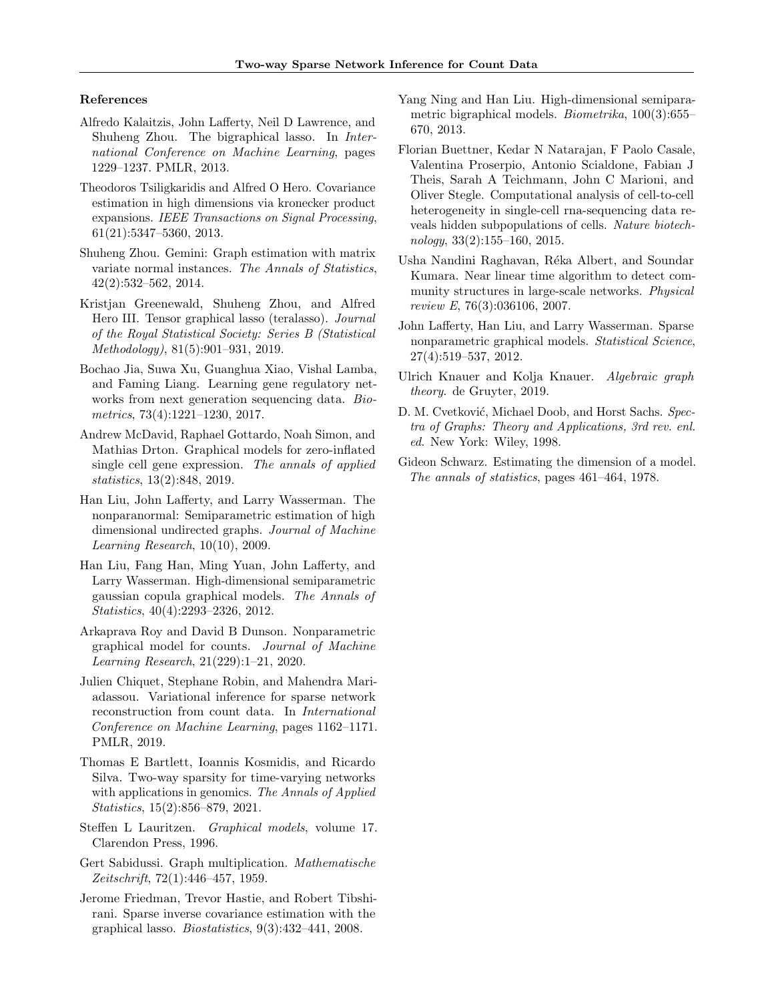#### References

- <span id="page-9-0"></span>Alfredo Kalaitzis, John Lafferty, Neil D Lawrence, and Shuheng Zhou. The bigraphical lasso. In International Conference on Machine Learning, pages 1229–1237. PMLR, 2013.
- <span id="page-9-1"></span>Theodoros Tsiligkaridis and Alfred O Hero. Covariance estimation in high dimensions via kronecker product expansions. IEEE Transactions on Signal Processing, 61(21):5347–5360, 2013.
- <span id="page-9-2"></span>Shuheng Zhou. Gemini: Graph estimation with matrix variate normal instances. The Annals of Statistics, 42(2):532–562, 2014.
- <span id="page-9-3"></span>Kristjan Greenewald, Shuheng Zhou, and Alfred Hero III. Tensor graphical lasso (teralasso). Journal of the Royal Statistical Society: Series B (Statistical Methodology), 81(5):901–931, 2019.
- <span id="page-9-4"></span>Bochao Jia, Suwa Xu, Guanghua Xiao, Vishal Lamba, and Faming Liang. Learning gene regulatory networks from next generation sequencing data. *Bio*metrics, 73(4):1221–1230, 2017.
- <span id="page-9-5"></span>Andrew McDavid, Raphael Gottardo, Noah Simon, and Mathias Drton. Graphical models for zero-inflated single cell gene expression. The annals of applied statistics, 13(2):848, 2019.
- <span id="page-9-6"></span>Han Liu, John Lafferty, and Larry Wasserman. The nonparanormal: Semiparametric estimation of high dimensional undirected graphs. Journal of Machine Learning Research, 10(10), 2009.
- <span id="page-9-7"></span>Han Liu, Fang Han, Ming Yuan, John Lafferty, and Larry Wasserman. High-dimensional semiparametric gaussian copula graphical models. The Annals of Statistics, 40(4):2293–2326, 2012.
- <span id="page-9-8"></span>Arkaprava Roy and David B Dunson. Nonparametric graphical model for counts. Journal of Machine Learning Research, 21(229):1–21, 2020.
- <span id="page-9-9"></span>Julien Chiquet, Stephane Robin, and Mahendra Mariadassou. Variational inference for sparse network reconstruction from count data. In International Conference on Machine Learning, pages 1162–1171. PMLR, 2019.
- <span id="page-9-10"></span>Thomas E Bartlett, Ioannis Kosmidis, and Ricardo Silva. Two-way sparsity for time-varying networks with applications in genomics. The Annals of Applied Statistics, 15(2):856–879, 2021.
- <span id="page-9-11"></span>Steffen L Lauritzen. Graphical models, volume 17. Clarendon Press, 1996.
- <span id="page-9-12"></span>Gert Sabidussi. Graph multiplication. Mathematische Zeitschrift, 72(1):446–457, 1959.
- <span id="page-9-13"></span>Jerome Friedman, Trevor Hastie, and Robert Tibshirani. Sparse inverse covariance estimation with the graphical lasso. *Biostatistics*,  $9(3):432-441$ , 2008.
- <span id="page-9-14"></span>Yang Ning and Han Liu. High-dimensional semiparametric bigraphical models. Biometrika, 100(3):655– 670, 2013.
- <span id="page-9-15"></span>Florian Buettner, Kedar N Natarajan, F Paolo Casale, Valentina Proserpio, Antonio Scialdone, Fabian J Theis, Sarah A Teichmann, John C Marioni, and Oliver Stegle. Computational analysis of cell-to-cell heterogeneity in single-cell rna-sequencing data reveals hidden subpopulations of cells. Nature biotechnology, 33(2):155–160, 2015.
- <span id="page-9-16"></span>Usha Nandini Raghavan, Réka Albert, and Soundar Kumara. Near linear time algorithm to detect community structures in large-scale networks. Physical review E, 76(3):036106, 2007.
- <span id="page-9-17"></span>John Lafferty, Han Liu, and Larry Wasserman. Sparse nonparametric graphical models. Statistical Science, 27(4):519–537, 2012.
- <span id="page-9-18"></span>Ulrich Knauer and Kolja Knauer. Algebraic graph theory. de Gruyter, 2019.
- <span id="page-9-19"></span>D. M. Cvetković, Michael Doob, and Horst Sachs. Spectra of Graphs: Theory and Applications, 3rd rev. enl. ed. New York: Wiley, 1998.
- <span id="page-9-20"></span>Gideon Schwarz. Estimating the dimension of a model. The annals of statistics, pages 461–464, 1978.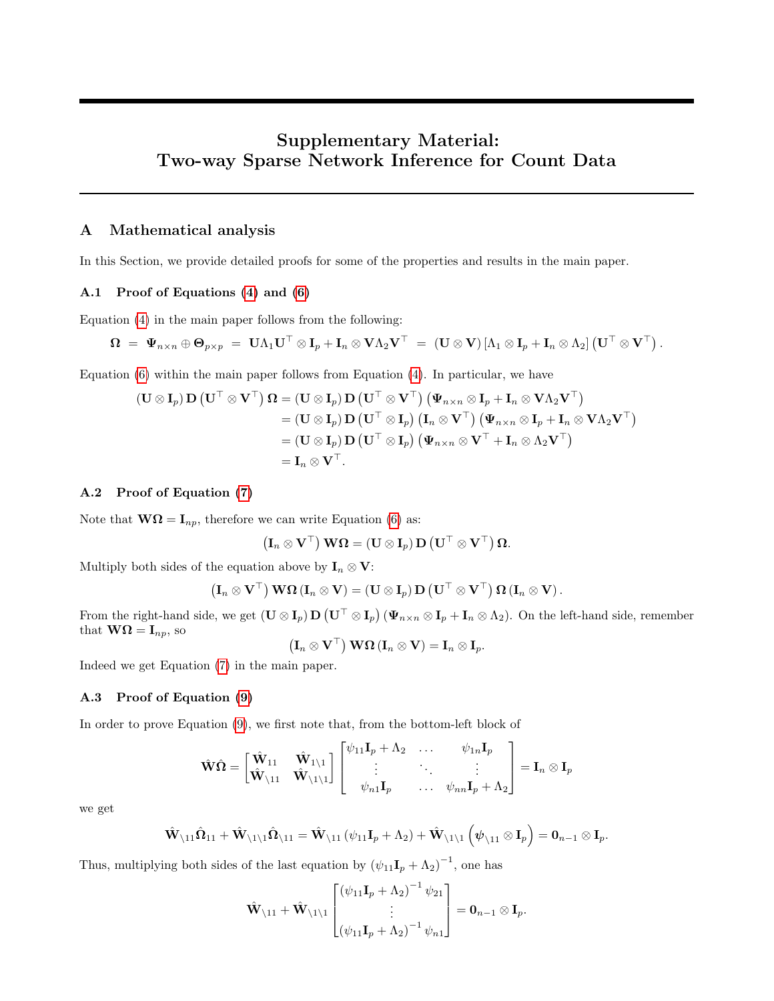# Supplementary Material: Two-way Sparse Network Inference for Count Data

# A Mathematical analysis

In this Section, we provide detailed proofs for some of the properties and results in the main paper.

### A.1 Proof of Equations [\(4\)](#page-2-1) and [\(6\)](#page-3-0)

Equation [\(4\)](#page-2-1) in the main paper follows from the following:

$$
\boldsymbol{\Omega} \;=\; \boldsymbol{\Psi}_{n\times n} \oplus \boldsymbol{\Theta}_{p\times p} \;=\; \mathbf{U}\Lambda_1\mathbf{U}^\top \otimes \mathbf{I}_p + \mathbf{I}_n \otimes \mathbf{V}\Lambda_2\mathbf{V}^\top \;=\; (\mathbf{U} \otimes \mathbf{V})\left[\Lambda_1 \otimes \mathbf{I}_p + \mathbf{I}_n \otimes \Lambda_2\right] \left(\mathbf{U}^\top \otimes \mathbf{V}^\top\right).
$$

Equation [\(6\)](#page-3-0) within the main paper follows from Equation [\(4\)](#page-2-1). In particular, we have

$$
\begin{aligned} \left(\mathbf{U} \otimes \mathbf{I}_p\right) \mathbf{D} \left(\mathbf{U}^\top \otimes \mathbf{V}^\top\right) \mathbf{\Omega} &= \left(\mathbf{U} \otimes \mathbf{I}_p\right) \mathbf{D} \left(\mathbf{U}^\top \otimes \mathbf{V}^\top\right) \left(\mathbf{\Psi}_{n \times n} \otimes \mathbf{I}_p + \mathbf{I}_n \otimes \mathbf{V} \Lambda_2 \mathbf{V}^\top\right) \\ &= \left(\mathbf{U} \otimes \mathbf{I}_p\right) \mathbf{D} \left(\mathbf{U}^\top \otimes \mathbf{I}_p\right) \left(\mathbf{I}_n \otimes \mathbf{V}^\top\right) \left(\mathbf{\Psi}_{n \times n} \otimes \mathbf{I}_p + \mathbf{I}_n \otimes \mathbf{V} \Lambda_2 \mathbf{V}^\top\right) \\ &= \left(\mathbf{U} \otimes \mathbf{I}_p\right) \mathbf{D} \left(\mathbf{U}^\top \otimes \mathbf{I}_p\right) \left(\mathbf{\Psi}_{n \times n} \otimes \mathbf{V}^\top + \mathbf{I}_n \otimes \Lambda_2 \mathbf{V}^\top\right) \\ &= \mathbf{I}_n \otimes \mathbf{V}^\top. \end{aligned}
$$

### A.2 Proof of Equation [\(7\)](#page-3-1)

Note that  $\mathbf{W}\Omega = \mathbf{I}_{np}$ , therefore we can write Equation [\(6\)](#page-3-0) as:

$$
\left(\mathbf{I}_n \otimes \mathbf{V}^\top\right) \mathbf{W} \mathbf{\Omega} = \left(\mathbf{U} \otimes \mathbf{I}_p\right) \mathbf{D} \left(\mathbf{U}^\top \otimes \mathbf{V}^\top\right) \mathbf{\Omega}.
$$

Multiply both sides of the equation above by  $I_n \otimes V$ :

$$
\left(\mathbf{I}_n\otimes \mathbf{V}^\top\right)\mathbf{W}\mathbf{\Omega}\left(\mathbf{I}_n\otimes \mathbf{V}\right)=\left(\mathbf{U}\otimes \mathbf{I}_p\right)\mathbf{D}\left(\mathbf{U}^\top\otimes \mathbf{V}^\top\right)\mathbf{\Omega}\left(\mathbf{I}_n\otimes \mathbf{V}\right).
$$

From the right-hand side, we get  $(\mathbf{U} \otimes \mathbf{I}_p) \mathbf{D} (\mathbf{U}^\top \otimes \mathbf{I}_p) (\Psi_{n \times n} \otimes \mathbf{I}_p + \mathbf{I}_n \otimes \Lambda_2)$ . On the left-hand side, remember that  $\mathbf{W}\mathbf{\Omega} = \mathbf{I}_{np}$ , so

 $\left(\mathbf{I}_n\otimes\mathbf{V}^\top\right)\mathbf{W}\mathbf{\Omega}\left(\mathbf{I}_n\otimes\mathbf{V}\right)=\mathbf{I}_n\otimes\mathbf{I}_p.$ 

Indeed we get Equation [\(7\)](#page-3-1) in the main paper.

### A.3 Proof of Equation [\(9\)](#page-3-3)

In order to prove Equation [\(9\)](#page-3-3), we first note that, from the bottom-left block of

$$
\hat{\mathbf{W}}\hat{\mathbf{\Omega}} = \begin{bmatrix} \hat{\mathbf{W}}_{11} & \hat{\mathbf{W}}_{1\setminus 1} \\ \hat{\mathbf{W}}_{\setminus 11} & \hat{\mathbf{W}}_{\setminus 1\setminus 1} \end{bmatrix} \begin{bmatrix} \psi_{11}\mathbf{I}_p + \Lambda_2 & \dots & \psi_{1n}\mathbf{I}_p \\ \vdots & \ddots & \vdots \\ \psi_{n1}\mathbf{I}_p & \dots & \psi_{nn}\mathbf{I}_p + \Lambda_2 \end{bmatrix} = \mathbf{I}_n \otimes \mathbf{I}_p
$$

we get

$$
\hat{\mathbf{W}}_{\setminus 11}\hat{\mathbf{\Omega}}_{11} + \hat{\mathbf{W}}_{\setminus 1\setminus 1}\hat{\mathbf{\Omega}}_{\setminus 11} = \hat{\mathbf{W}}_{\setminus 11}(\psi_{11}\mathbf{I}_p + \Lambda_2) + \hat{\mathbf{W}}_{\setminus 1\setminus 1}(\psi_{\setminus 11} \otimes \mathbf{I}_p) = \mathbf{0}_{n-1} \otimes \mathbf{I}_p.
$$

Thus, multiplying both sides of the last equation by  $(\psi_{11}\mathbf{I}_p + \Lambda_2)^{-1}$ , one has

$$
\hat{\mathbf{W}}_{\setminus 11} + \hat{\mathbf{W}}_{\setminus 1\setminus 1} \begin{bmatrix} (\psi_{11}\mathbf{I}_p + \Lambda_2)^{-1} \psi_{21} \\ \vdots \\ (\psi_{11}\mathbf{I}_p + \Lambda_2)^{-1} \psi_{n1} \end{bmatrix} = \mathbf{0}_{n-1} \otimes \mathbf{I}_p.
$$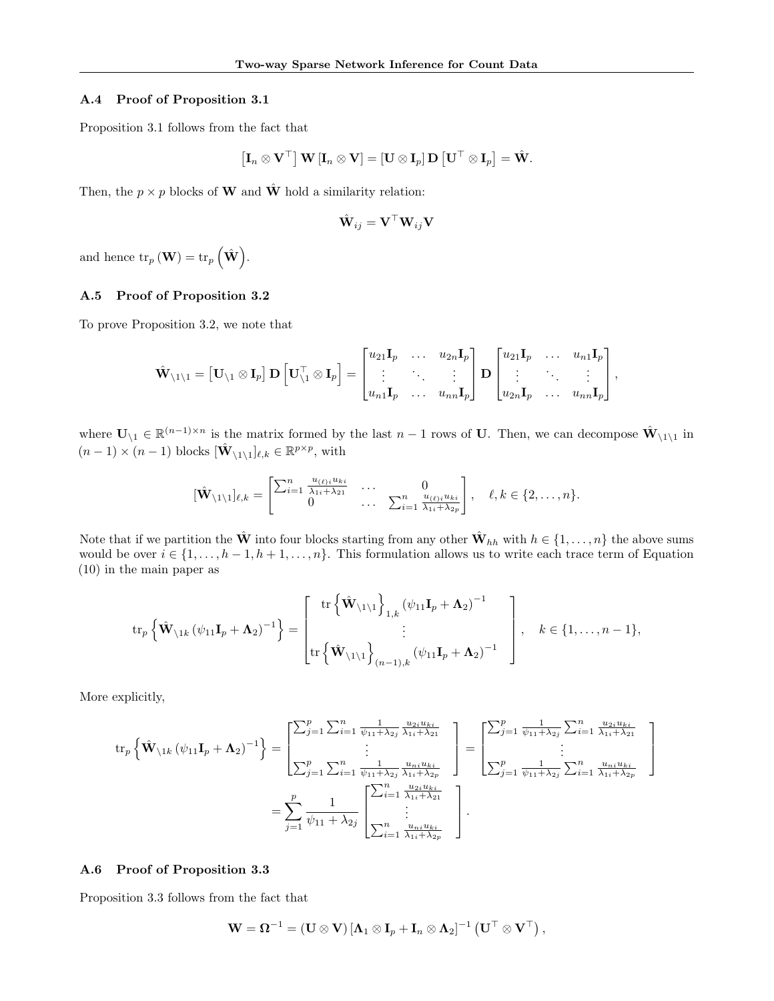# A.4 Proof of Proposition 3.1

Proposition 3.1 follows from the fact that

$$
\left[\mathbf{I}_n \otimes \mathbf{V}^\top\right] \mathbf{W} \left[\mathbf{I}_n \otimes \mathbf{V}\right] = \left[\mathbf{U} \otimes \mathbf{I}_p\right] \mathbf{D} \left[\mathbf{U}^\top \otimes \mathbf{I}_p\right] = \hat{\mathbf{W}}.
$$

Then, the  $p \times p$  blocks of **W** and  $\hat{\mathbf{W}}$  hold a similarity relation:

$$
\hat{\mathbf{W}}_{ij} = \mathbf{V}^\top \mathbf{W}_{ij} \mathbf{V}
$$

and hence  $\text{tr}_p(\mathbf{W}) = \text{tr}_p(\hat{\mathbf{W}}).$ 

### A.5 Proof of Proposition 3.2

To prove Proposition 3.2, we note that

$$
\hat{\mathbf{W}}_{\setminus 1 \setminus 1} = \begin{bmatrix} \mathbf{U}_{\setminus 1} \otimes \mathbf{I}_{p} \end{bmatrix} \mathbf{D} \begin{bmatrix} \mathbf{U}_{\setminus 1}^{\top} \otimes \mathbf{I}_{p} \end{bmatrix} = \begin{bmatrix} u_{21} \mathbf{I}_{p} & \dots & u_{2n} \mathbf{I}_{p} \\ \vdots & \ddots & \vdots \\ u_{n1} \mathbf{I}_{p} & \dots & u_{nn} \mathbf{I}_{p} \end{bmatrix} \mathbf{D} \begin{bmatrix} u_{21} \mathbf{I}_{p} & \dots & u_{n1} \mathbf{I}_{p} \\ \vdots & \ddots & \vdots \\ u_{2n} \mathbf{I}_{p} & \dots & u_{nn} \mathbf{I}_{p} \end{bmatrix},
$$

where  $\mathbf{U}_{\setminus 1} \in \mathbb{R}^{(n-1)\times n}$  is the matrix formed by the last  $n-1$  rows of U. Then, we can decompose  $\hat{\mathbf{W}}_{\setminus 1\setminus 1}$  in  $(n-1) \times (n-1)$  blocks  $[\hat{\mathbf{W}}_{\setminus 1\setminus 1}]_{\ell,k} \in \mathbb{R}^{p \times p}$ , with

$$
[\hat{\mathbf{W}}_{\setminus 1\setminus 1}]_{\ell,k} = \begin{bmatrix} \sum_{i=1}^n \frac{u_{(\ell)i}u_{ki}}{\lambda_{1i} + \lambda_{21}} & \cdots & 0 \\ 0 & \cdots & \sum_{i=1}^n \frac{u_{(\ell)i}u_{ki}}{\lambda_{1i} + \lambda_{2p}} \end{bmatrix}, \quad \ell,k \in \{2,\ldots,n\}.
$$

Note that if we partition the  $\hat{\mathbf{W}}$  into four blocks starting from any other  $\hat{\mathbf{W}}_{hh}$  with  $h \in \{1, \ldots, n\}$  the above sums would be over  $i \in \{1, ..., h-1, h+1, ..., n\}$ . This formulation allows us to write each trace term of Equation (10) in the main paper as

$$
\operatorname{tr}_{p}\left\{\hat{\mathbf{W}}_{\backslash 1k}\left(\psi_{11}\mathbf{I}_{p}+\mathbf{\Lambda}_{2}\right)^{-1}\right\}=\left[\begin{array}{c} \operatorname{tr}\left\{\hat{\mathbf{W}}_{\backslash 1\backslash 1}\right\}_{1,k}\left(\psi_{11}\mathbf{I}_{p}+\mathbf{\Lambda}_{2}\right)^{-1} \\ \vdots \\ \operatorname{tr}\left\{\hat{\mathbf{W}}_{\backslash 1\backslash 1}\right\}_{(n-1),k}\left(\psi_{11}\mathbf{I}_{p}+\mathbf{\Lambda}_{2}\right)^{-1} \end{array}\right],\quad k\in\{1,\ldots,n-1\},\
$$

More explicitly,

$$
\operatorname{tr}_{p} \left\{ \hat{\mathbf{W}}_{\backslash 1k} \left( \psi_{11} \mathbf{I}_{p} + \mathbf{\Lambda}_{2} \right)^{-1} \right\} = \begin{bmatrix} \sum_{j=1}^{p} \sum_{i=1}^{n} \frac{1}{\psi_{11} + \lambda_{2j}} \frac{u_{2i} u_{ki}}{\lambda_{1i} + \lambda_{21}} \\ \vdots \\ \sum_{j=1}^{p} \sum_{i=1}^{n} \frac{1}{\psi_{11} + \lambda_{2j}} \frac{u_{ni} u_{ki}}{\lambda_{1i} + \lambda_{22}} \end{bmatrix} = \begin{bmatrix} \sum_{j=1}^{p} \frac{1}{\psi_{11} + \lambda_{2j}} \sum_{i=1}^{n} \frac{u_{2i} u_{ki}}{\lambda_{1i} + \lambda_{21}} \\ \vdots \\ \sum_{j=1}^{p} \frac{1}{\psi_{11} + \lambda_{2j}} \sum_{i=1}^{n} \frac{u_{ni} u_{ki}}{\lambda_{1i} + \lambda_{22}} \end{bmatrix}
$$

$$
= \sum_{j=1}^{p} \frac{1}{\psi_{11} + \lambda_{2j}} \begin{bmatrix} \sum_{i=1}^{n} \frac{u_{2i} u_{ki}}{\lambda_{1i} + \lambda_{21}} \\ \vdots \\ \sum_{i=1}^{n} \frac{u_{ni} u_{ki}}{\lambda_{1i} + \lambda_{2p}} \end{bmatrix}.
$$

### A.6 Proof of Proposition 3.3

Proposition 3.3 follows from the fact that

$$
\mathbf{W} = \mathbf{\Omega}^{-1} = (\mathbf{U} \otimes \mathbf{V}) \left[ \mathbf{\Lambda}_1 \otimes \mathbf{I}_p + \mathbf{I}_n \otimes \mathbf{\Lambda}_2 \right]^{-1} \left( \mathbf{U}^\top \otimes \mathbf{V}^\top \right),
$$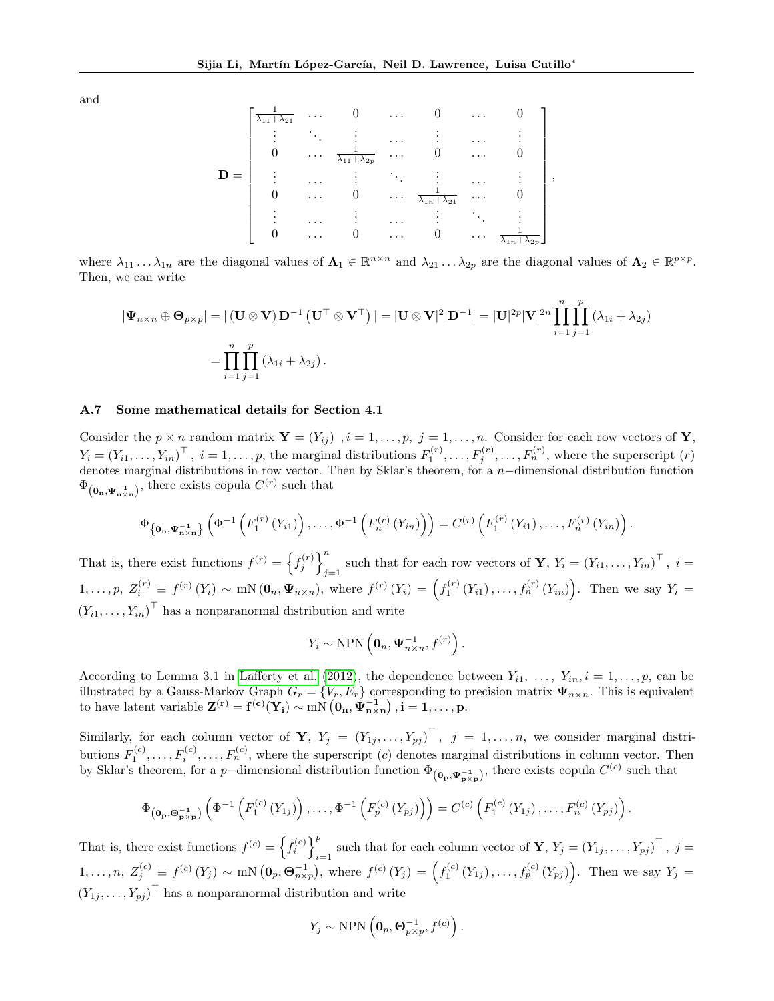and

$$
\mathbf{D} = \begin{bmatrix} \frac{1}{\lambda_{11} + \lambda_{21}} & \cdots & 0 & \cdots & 0 & \cdots & 0 \\ \vdots & \ddots & \vdots & \cdots & \vdots & \cdots & \vdots \\ 0 & \cdots & \frac{1}{\lambda_{11} + \lambda_{2p}} & \cdots & 0 & \cdots & 0 \\ \vdots & \cdots & \vdots & \ddots & \vdots & \cdots & \vdots \\ 0 & \cdots & 0 & \cdots & \frac{1}{\lambda_{1n} + \lambda_{21}} & \cdots & 0 \\ \vdots & \cdots & \vdots & \cdots & \vdots & \ddots & \vdots \\ 0 & \cdots & 0 & \cdots & 0 & \cdots & \frac{1}{\lambda_{1n} + \lambda_{2n}} \end{bmatrix},
$$

where  $\lambda_{11} \ldots \lambda_{1n}$  are the diagonal values of  $\Lambda_1 \in \mathbb{R}^{n \times n}$  and  $\lambda_{21} \ldots \lambda_{2p}$  are the diagonal values of  $\Lambda_2 \in \mathbb{R}^{p \times p}$ . Then, we can write

$$
\begin{aligned} |\Psi_{n\times n}\oplus\mathbf{O}_{p\times p}|&=|\left(\mathbf{U}\otimes\mathbf{V}\right)\mathbf{D}^{-1}\left(\mathbf{U}^{\top}\otimes\mathbf{V}^{\top}\right)|=|\mathbf{U}\otimes\mathbf{V}|^{2}|\mathbf{D}^{-1}|=|\mathbf{U}|^{2p}|\mathbf{V}|^{2n}\prod_{i=1}^{n}\prod_{j=1}^{p}\left(\lambda_{1i}+\lambda_{2j}\right)\\ &=\prod_{i=1}^{n}\prod_{j=1}^{p}\left(\lambda_{1i}+\lambda_{2j}\right). \end{aligned}
$$

### A.7 Some mathematical details for Section 4.1

Consider the  $p \times n$  random matrix  $\mathbf{Y} = (Y_{ij})$ ,  $i = 1, \ldots, p$ ,  $j = 1, \ldots, n$ . Consider for each row vectors of **Y**,  $Y_i = (Y_{i1}, \ldots, Y_{in})^\top$ ,  $i = 1, \ldots, p$ , the marginal distributions  $F_1^{(r)}, \ldots, F_j^{(r)}, \ldots, F_n^{(r)}$ , where the superscript  $(r)$ denotes marginal distributions in row vector. Then by Sklar's theorem, for a n−dimensional distribution function  $\Phi_{(\mathbf{0}_n, \Psi_{\mathbf{n}\times\mathbf{n}}^{-1})}$ , there exists copula  $C^{(r)}$  such that

$$
\Phi_{\left\{0_{n},\Psi_{n\times n}^{-1}\right\}}\left(\Phi^{-1}\left(F_{1}^{(r)}\left(Y_{i1}\right)\right),\ldots,\Phi^{-1}\left(F_{n}^{(r)}\left(Y_{in}\right)\right)\right)=C^{(r)}\left(F_{1}^{(r)}\left(Y_{i1}\right),\ldots,F_{n}^{(r)}\left(Y_{in}\right)\right).
$$

That is, there exist functions  $f^{(r)} = \left\{ f_j^{(r)} \right\}^n$ such that for each row vectors of **Y**,  $Y_i = (Y_{i1}, \ldots, Y_{in})^\top$ ,  $i = j$  $1, \ldots, p, Z_i^{(r)} \equiv f^{(r)}(Y_i) \sim \text{mN}(\mathbf{0}_n, \Psi_{n \times n}), \text{ where } f^{(r)}(Y_i) = \left(f_1^{(r)}(Y_{i1}), \ldots, f_n^{(r)}(Y_{in})\right). \text{ Then we say } Y_i =$  $(Y_{i1}, \ldots, Y_{in})^{\top}$  has a nonparanormal distribution and write

$$
Y_i \sim \text{NPN}\left(\mathbf{0}_n, \mathbf{\Psi}_{n \times n}^{-1}, f^{(r)}\right).
$$

According to Lemma 3.1 in [Lafferty et al.](#page-9-17) [\(2012\)](#page-9-17), the dependence between  $Y_{i1}, \ldots, Y_{in}, i = 1, \ldots, p$ , can be illustrated by a Gauss-Markov Graph  $G_r = \{V_r, E_r\}$  corresponding to precision matrix  $\Psi_{n \times n}$ . This is equivalent to have latent variable  $\mathbf{Z}^{(\mathbf{r})} = \mathbf{f}^{(\mathbf{c})}(\mathbf{Y}_\mathbf{i}) \sim m N\left(\mathbf{0}_\mathbf{n}, \mathbf{\Psi}_{\mathbf{n}\times\mathbf{n}}^{-1}\right), \mathbf{i} = 1,\ldots,\mathbf{p}.$ 

Similarly, for each column vector of **Y**,  $Y_j = (Y_{1j},...,Y_{pj})^\top$ ,  $j = 1,...,n$ , we consider marginal distributions  $F_1^{(c)}, \ldots, F_i^{(c)}, \ldots, F_n^{(c)}$ , where the superscript (c) denotes marginal distributions in column vector. Then by Sklar's theorem, for a p-dimensional distribution function  $\Phi_{(0_p, \Psi_{p \times p}^{-1})}$ , there exists copula  $C^{(c)}$  such that

$$
\Phi_{({\bf 0}_{\bf p}, {\bf \Theta}_{\bf p \times p}^{-1})}\left(\Phi^{-1}\left(F_1^{(c)}\left(Y_{1j}\right)\right), \ldots, \Phi^{-1}\left(F_p^{(c)}\left(Y_{pj}\right)\right)\right) = C^{(c)}\left(F_1^{(c)}\left(Y_{1j}\right), \ldots, F_n^{(c)}\left(Y_{pj}\right)\right).
$$

That is, there exist functions  $f^{(c)} = \left\{ f_i^{(c)} \right\}_{i=1}^{p}$ under that for each column vector of **Y**,  $Y_j = (Y_{1j}, \ldots, Y_{pj})^\top$ ,  $j =$  $1, \ldots, n, Z_j^{(c)} \equiv f^{(c)}(Y_j) \sim \text{mN} \left( \mathbf{0}_p, \mathbf{\Theta}_{p \times p}^{-1} \right)$ , where  $f^{(c)}(Y_j) = \left( f_1^{(c)}(Y_{1j}), \ldots, f_p^{(c)}(Y_{pj}) \right)$ . Then we say  $Y_j =$  $(Y_{1j}, \ldots, Y_{pj})^{\top}$  has a nonparanormal distribution and write

$$
Y_j \sim \text{NPN}\left(\mathbf{0}_p, \mathbf{\Theta}_{p \times p}^{-1}, f^{(c)}\right).
$$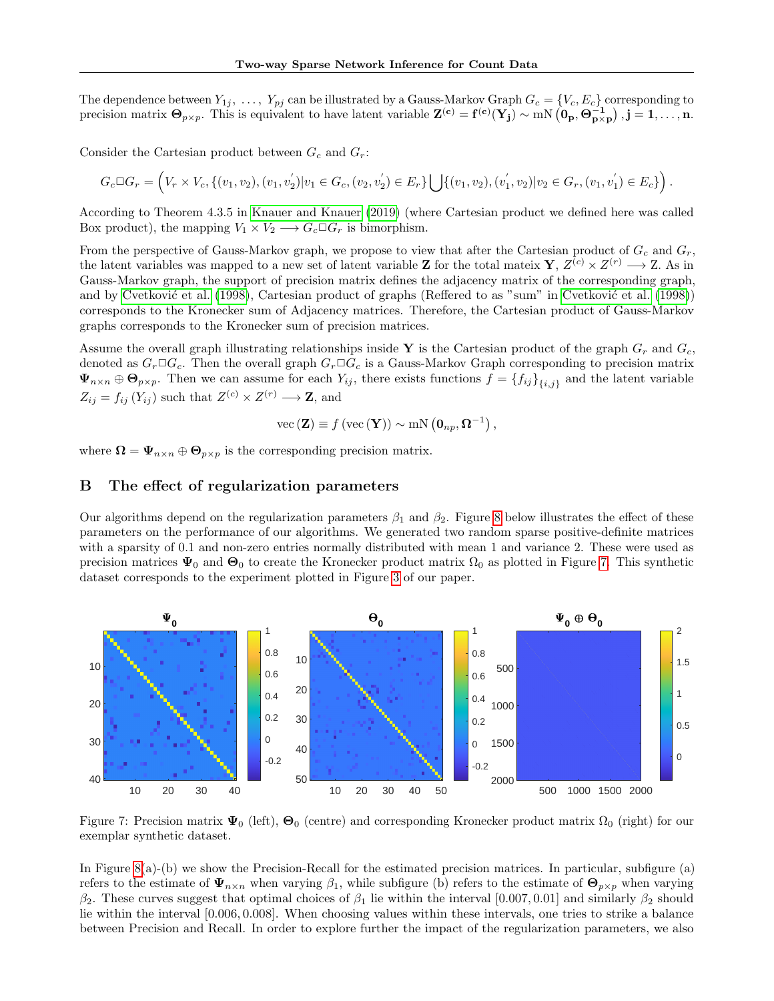The dependence between  $Y_{1j}$ , ...,  $Y_{pj}$  can be illustrated by a Gauss-Markov Graph  $G_c = \{V_c, E_c\}$  corresponding to precision matrix  $\mathbf{\Theta}_{p\times p}$ . This is equivalent to have latent variable  $\mathbf{Z}^{(\mathbf{c})} = \mathbf{f}^{(\mathbf{c})}(\mathbf{Y}_{j}) \sim mN(\mathbf{0}_{p}, \mathbf{\Theta}_{p\times p}^{-1}), \mathbf{j} = 1, \ldots, n$ .

Consider the Cartesian product between  $G_c$  and  $G_r$ :

$$
G_c \Box G_r = \left(V_r \times V_c, \{(v_1, v_2), (v_1, v_2') | v_1 \in G_c, (v_2, v_2') \in E_r\} \bigcup \{(v_1, v_2), (v_1', v_2) | v_2 \in G_r, (v_1, v_1') \in E_c\}\right).
$$

According to Theorem 4.3.5 in [Knauer and Knauer](#page-9-18) [\(2019\)](#page-9-18) (where Cartesian product we defined here was called Box product), the mapping  $V_1 \times V_2 \longrightarrow G_c \square G_r$  is bimorphism.

From the perspective of Gauss-Markov graph, we propose to view that after the Cartesian product of  $G_c$  and  $G_r$ , the latent variables was mapped to a new set of latent variable **Z** for the total mateix **Y**,  $Z^{(c)} \times Z^{(r)} \longrightarrow Z$ . As in Gauss-Markov graph, the support of precision matrix defines the adjacency matrix of the corresponding graph, and by Cvetković et al. [\(1998\)](#page-9-19), Cartesian product of graphs (Reffered to as "sum" in Cvetković et al. (1998)) corresponds to the Kronecker sum of Adjacency matrices. Therefore, the Cartesian product of Gauss-Markov graphs corresponds to the Kronecker sum of precision matrices.

Assume the overall graph illustrating relationships inside Y is the Cartesian product of the graph  $G_r$  and  $G_c$ , denoted as  $G_r \Box G_c$ . Then the overall graph  $G_r \Box G_c$  is a Gauss-Markov Graph corresponding to precision matrix  $\Psi_{n\times n} \oplus \mathbf{\Theta}_{p\times p}$ . Then we can assume for each  $Y_{ij}$ , there exists functions  $f = \{f_{ij}\}_{\{i,j\}}$  and the latent variable  $Z_{ij} = f_{ij} (Y_{ij})$  such that  $Z^{(c)} \times Z^{(r)} \longrightarrow \mathbf{Z}$ , and

$$
\text{vec}(\mathbf{Z}) \equiv f(\text{vec}(\mathbf{Y})) \sim \text{mN}(\mathbf{0}_{np}, \mathbf{\Omega}^{-1}),
$$

where  $\mathbf{\Omega} = \mathbf{\Psi}_{n \times n} \oplus \mathbf{\Theta}_{p \times p}$  is the corresponding precision matrix.

### B The effect of regularization parameters

Our algorithms depend on the regularization parameters  $\beta_1$  and  $\beta_2$ . Figure [8](#page-14-0) below illustrates the effect of these parameters on the performance of our algorithms. We generated two random sparse positive-definite matrices with a sparsity of 0.1 and non-zero entries normally distributed with mean 1 and variance 2. These were used as precision matrices  $\Psi_0$  and  $\Theta_0$  to create the Kronecker product matrix  $\Omega_0$  as plotted in Figure [7.](#page-13-0) This synthetic dataset corresponds to the experiment plotted in Figure [3](#page-7-0) of our paper.

<span id="page-13-0"></span>

Figure 7: Precision matrix  $\Psi_0$  (left),  $\Theta_0$  (centre) and corresponding Kronecker product matrix  $\Omega_0$  (right) for our exemplar synthetic dataset.

In Figure [8\(](#page-14-0)a)-(b) we show the Precision-Recall for the estimated precision matrices. In particular, subfigure (a) refers to the estimate of  $\Psi_{n\times n}$  when varying  $\beta_1$ , while subfigure (b) refers to the estimate of  $\Theta_{p\times p}$  when varying  $β_2$ . These curves suggest that optimal choices of  $β_1$  lie within the interval [0.007, 0.01] and similarly  $β_2$  should lie within the interval [0.006, 0.008]. When choosing values within these intervals, one tries to strike a balance between Precision and Recall. In order to explore further the impact of the regularization parameters, we also